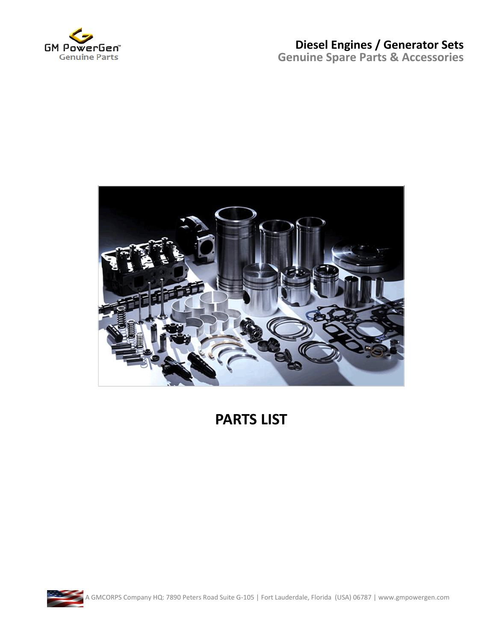



#### **PARTS LIST**

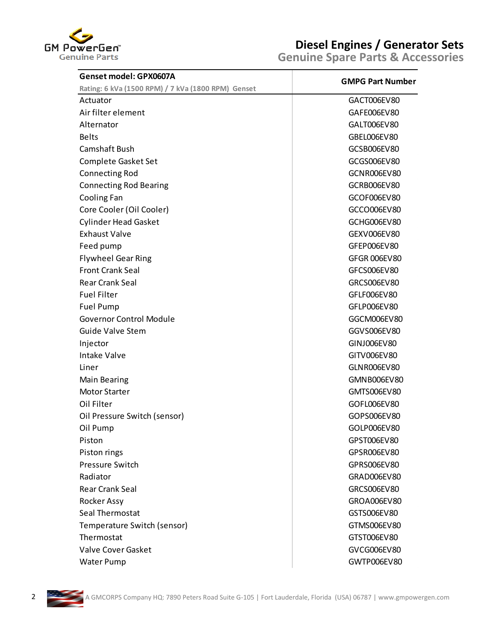

| Genset model: GPX0607A                             | <b>GMPG Part Number</b> |
|----------------------------------------------------|-------------------------|
| Rating: 6 kVa (1500 RPM) / 7 kVa (1800 RPM) Genset |                         |
| Actuator                                           | GACT006EV80             |
| Air filter element                                 | GAFE006EV80             |
| Alternator                                         | GALT006EV80             |
| <b>Belts</b>                                       | GBEL006EV80             |
| Camshaft Bush                                      | GCSB006EV80             |
| Complete Gasket Set                                | GCGS006EV80             |
| <b>Connecting Rod</b>                              | <b>GCNR006EV80</b>      |
| <b>Connecting Rod Bearing</b>                      | GCRB006EV80             |
| Cooling Fan                                        | GCOF006EV80             |
| Core Cooler (Oil Cooler)                           | GCCO006EV80             |
| <b>Cylinder Head Gasket</b>                        | <b>GCHG006EV80</b>      |
| <b>Exhaust Valve</b>                               | GEXV006EV80             |
| Feed pump                                          | GFEP006EV80             |
| <b>Flywheel Gear Ring</b>                          | <b>GFGR 006EV80</b>     |
| <b>Front Crank Seal</b>                            | GFCS006EV80             |
| <b>Rear Crank Seal</b>                             | GRCS006EV80             |
| <b>Fuel Filter</b>                                 | GFLF006EV80             |
| Fuel Pump                                          | GFLP006EV80             |
| <b>Governor Control Module</b>                     | GGCM006EV80             |
| <b>Guide Valve Stem</b>                            | GGVS006EV80             |
| Injector                                           | GINJ006EV80             |
| <b>Intake Valve</b>                                | GITV006EV80             |
| Liner                                              | GLNR006EV80             |
| <b>Main Bearing</b>                                | GMNB006EV80             |
| <b>Motor Starter</b>                               | GMTS006EV80             |
| Oil Filter                                         | GOFL006EV80             |
| Oil Pressure Switch (sensor)                       | GOPS006EV80             |
| Oil Pump                                           | GOLP006EV80             |
| Piston                                             | GPST006EV80             |
| Piston rings                                       | GPSR006EV80             |
| <b>Pressure Switch</b>                             | GPRS006EV80             |
| Radiator                                           | GRAD006EV80             |
| <b>Rear Crank Seal</b>                             | GRCS006EV80             |
| Rocker Assy                                        | GROA006EV80             |
| Seal Thermostat                                    | GSTS006EV80             |
| Temperature Switch (sensor)                        | GTMS006EV80             |
| Thermostat                                         | GTST006EV80             |
| <b>Valve Cover Gasket</b>                          | GVCG006EV80             |
| Water Pump                                         | GWTP006EV80             |

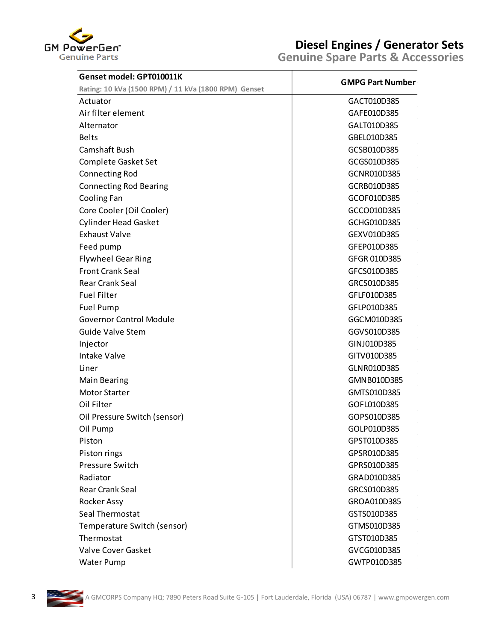

| Genset model: GPT010011K                             | <b>GMPG Part Number</b> |
|------------------------------------------------------|-------------------------|
| Rating: 10 kVa (1500 RPM) / 11 kVa (1800 RPM) Genset |                         |
| Actuator                                             | GACT010D385             |
| Air filter element                                   | GAFE010D385             |
| Alternator                                           | GALT010D385             |
| <b>Belts</b>                                         | GBEL010D385             |
| Camshaft Bush                                        | GCSB010D385             |
| Complete Gasket Set                                  | GCGS010D385             |
| <b>Connecting Rod</b>                                | GCNR010D385             |
| <b>Connecting Rod Bearing</b>                        | GCRB010D385             |
| Cooling Fan                                          | GCOF010D385             |
| Core Cooler (Oil Cooler)                             | GCCO010D385             |
| <b>Cylinder Head Gasket</b>                          | GCHG010D385             |
| <b>Exhaust Valve</b>                                 | GEXV010D385             |
| Feed pump                                            | GFEP010D385             |
| <b>Flywheel Gear Ring</b>                            | GFGR 010D385            |
| <b>Front Crank Seal</b>                              | GFCS010D385             |
| <b>Rear Crank Seal</b>                               | GRCS010D385             |
| <b>Fuel Filter</b>                                   | GFLF010D385             |
| <b>Fuel Pump</b>                                     | GFLP010D385             |
| <b>Governor Control Module</b>                       | GGCM010D385             |
| <b>Guide Valve Stem</b>                              | GGVS010D385             |
| Injector                                             | GINJ010D385             |
| <b>Intake Valve</b>                                  | GITV010D385             |
| Liner                                                | GLNR010D385             |
| <b>Main Bearing</b>                                  | GMNB010D385             |
| <b>Motor Starter</b>                                 | GMTS010D385             |
| Oil Filter                                           | GOFL010D385             |
| Oil Pressure Switch (sensor)                         | GOPS010D385             |
| Oil Pump                                             | GOLP010D385             |
| Piston                                               | GPST010D385             |
| Piston rings                                         | GPSR010D385             |
| <b>Pressure Switch</b>                               | GPRS010D385             |
| Radiator                                             | GRAD010D385             |
| <b>Rear Crank Seal</b>                               | GRCS010D385             |
| Rocker Assy                                          | GROA010D385             |
| Seal Thermostat                                      | GSTS010D385             |
| Temperature Switch (sensor)                          | GTMS010D385             |
| Thermostat                                           | GTST010D385             |
| Valve Cover Gasket                                   | GVCG010D385             |
| <b>Water Pump</b>                                    | GWTP010D385             |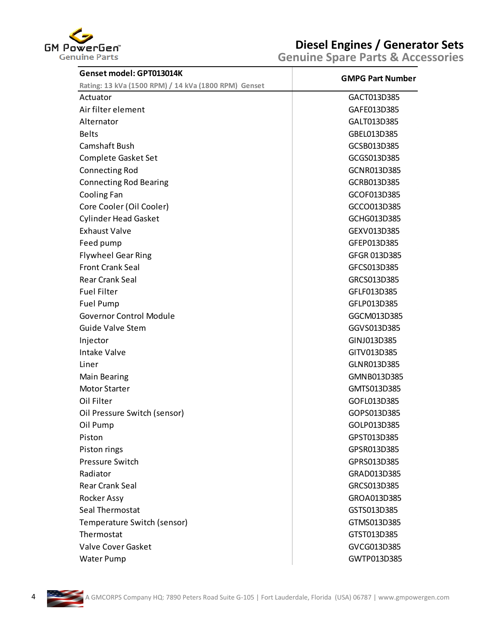

| Genset model: GPT013014K                                         | <b>GMPG Part Number</b> |
|------------------------------------------------------------------|-------------------------|
| Rating: 13 kVa (1500 RPM) / 14 kVa (1800 RPM) Genset<br>Actuator | GACT013D385             |
| Air filter element                                               | GAFE013D385             |
| Alternator                                                       | GALT013D385             |
| <b>Belts</b>                                                     | GBEL013D385             |
| Camshaft Bush                                                    | GCSB013D385             |
| <b>Complete Gasket Set</b>                                       | GCGS013D385             |
|                                                                  |                         |
| <b>Connecting Rod</b>                                            | GCNR013D385             |
| <b>Connecting Rod Bearing</b>                                    | GCRB013D385             |
| Cooling Fan                                                      | GCOF013D385             |
| Core Cooler (Oil Cooler)                                         | GCCO013D385             |
| <b>Cylinder Head Gasket</b>                                      | GCHG013D385             |
| <b>Exhaust Valve</b>                                             | GEXV013D385             |
| Feed pump                                                        | GFEP013D385             |
| <b>Flywheel Gear Ring</b>                                        | GFGR 013D385            |
| <b>Front Crank Seal</b>                                          | GFCS013D385             |
| <b>Rear Crank Seal</b>                                           | GRCS013D385             |
| <b>Fuel Filter</b>                                               | GFLF013D385             |
| <b>Fuel Pump</b>                                                 | GFLP013D385             |
| <b>Governor Control Module</b>                                   | GGCM013D385             |
| <b>Guide Valve Stem</b>                                          | GGVS013D385             |
| Injector                                                         | GINJ013D385             |
| <b>Intake Valve</b>                                              | GITV013D385             |
| Liner                                                            | GLNR013D385             |
| <b>Main Bearing</b>                                              | GMNB013D385             |
| <b>Motor Starter</b>                                             | GMTS013D385             |
| Oil Filter                                                       | GOFL013D385             |
| Oil Pressure Switch (sensor)                                     | GOPS013D385             |
| Oil Pump                                                         | GOLP013D385             |
| Piston                                                           | GPST013D385             |
| Piston rings                                                     | GPSR013D385             |
| <b>Pressure Switch</b>                                           | GPRS013D385             |
| Radiator                                                         | GRAD013D385             |
| <b>Rear Crank Seal</b>                                           | GRCS013D385             |
| Rocker Assy                                                      | GROA013D385             |
| Seal Thermostat                                                  | GSTS013D385             |
| Temperature Switch (sensor)                                      | GTMS013D385             |
| Thermostat                                                       | GTST013D385             |
| <b>Valve Cover Gasket</b>                                        | GVCG013D385             |
| Water Pump                                                       | GWTP013D385             |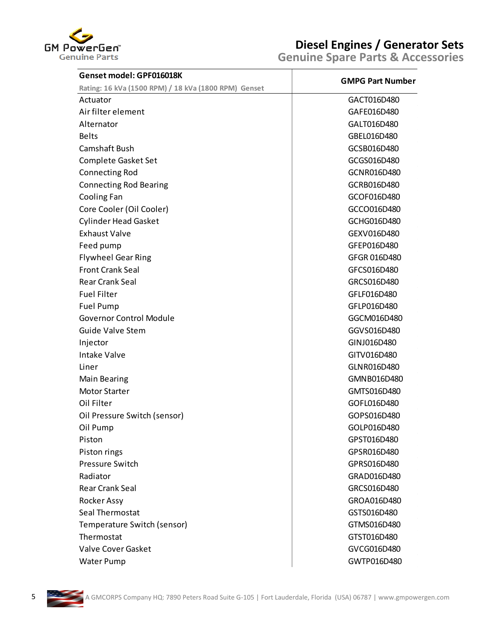

| Genset model: GPF016018K                             | <b>GMPG Part Number</b> |
|------------------------------------------------------|-------------------------|
| Rating: 16 kVa (1500 RPM) / 18 kVa (1800 RPM) Genset |                         |
| Actuator                                             | GACT016D480             |
| Air filter element                                   | GAFE016D480             |
| Alternator                                           | GALT016D480             |
| <b>Belts</b>                                         | GBEL016D480             |
| Camshaft Bush                                        | GCSB016D480             |
| Complete Gasket Set                                  | GCGS016D480             |
| <b>Connecting Rod</b>                                | GCNR016D480             |
| <b>Connecting Rod Bearing</b>                        | GCRB016D480             |
| Cooling Fan                                          | GCOF016D480             |
| Core Cooler (Oil Cooler)                             | GCCO016D480             |
| <b>Cylinder Head Gasket</b>                          | GCHG016D480             |
| <b>Exhaust Valve</b>                                 | GEXV016D480             |
| Feed pump                                            | GFEP016D480             |
| <b>Flywheel Gear Ring</b>                            | GFGR 016D480            |
| <b>Front Crank Seal</b>                              | GFCS016D480             |
| <b>Rear Crank Seal</b>                               | GRCS016D480             |
| <b>Fuel Filter</b>                                   | GFLF016D480             |
| <b>Fuel Pump</b>                                     | GFLP016D480             |
| <b>Governor Control Module</b>                       | GGCM016D480             |
| <b>Guide Valve Stem</b>                              | GGVS016D480             |
| Injector                                             | GINJ016D480             |
| <b>Intake Valve</b>                                  | GITV016D480             |
| Liner                                                | GLNR016D480             |
| <b>Main Bearing</b>                                  | GMNB016D480             |
| <b>Motor Starter</b>                                 | GMTS016D480             |
| Oil Filter                                           | GOFL016D480             |
| Oil Pressure Switch (sensor)                         | GOPS016D480             |
| Oil Pump                                             | GOLP016D480             |
| Piston                                               | GPST016D480             |
| Piston rings                                         | GPSR016D480             |
| <b>Pressure Switch</b>                               | GPRS016D480             |
| Radiator                                             | GRAD016D480             |
| <b>Rear Crank Seal</b>                               | GRCS016D480             |
| Rocker Assy                                          | GROA016D480             |
| Seal Thermostat                                      | GSTS016D480             |
| Temperature Switch (sensor)                          | GTMS016D480             |
| Thermostat                                           | GTST016D480             |
| Valve Cover Gasket                                   | GVCG016D480             |
| <b>Water Pump</b>                                    | GWTP016D480             |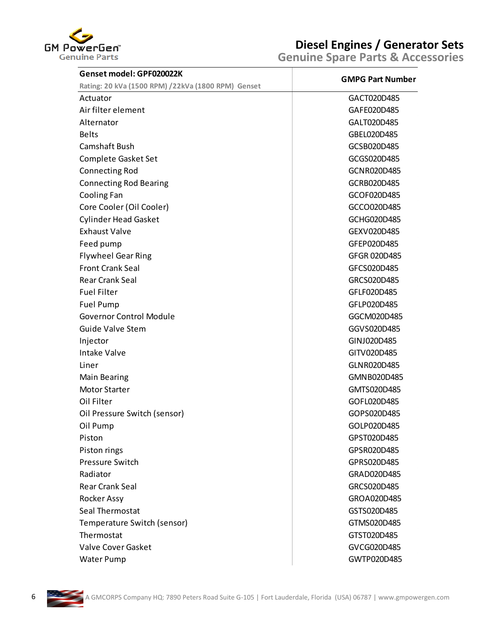

| Genset model: GPF020022K                           | <b>GMPG Part Number</b> |
|----------------------------------------------------|-------------------------|
| Rating: 20 kVa (1500 RPM) /22kVa (1800 RPM) Genset |                         |
| Actuator                                           | GACT020D485             |
| Air filter element                                 | GAFE020D485             |
| Alternator                                         | GALT020D485             |
| <b>Belts</b>                                       | GBEL020D485             |
| Camshaft Bush                                      | GCSB020D485             |
| Complete Gasket Set                                | GCGS020D485             |
| <b>Connecting Rod</b>                              | GCNR020D485             |
| <b>Connecting Rod Bearing</b>                      | GCRB020D485             |
| Cooling Fan                                        | GCOF020D485             |
| Core Cooler (Oil Cooler)                           | GCCO020D485             |
| <b>Cylinder Head Gasket</b>                        | GCHG020D485             |
| <b>Exhaust Valve</b>                               | GEXV020D485             |
| Feed pump                                          | GFEP020D485             |
| <b>Flywheel Gear Ring</b>                          | GFGR 020D485            |
| <b>Front Crank Seal</b>                            | GFCS020D485             |
| <b>Rear Crank Seal</b>                             | GRCS020D485             |
| <b>Fuel Filter</b>                                 | GFLF020D485             |
| <b>Fuel Pump</b>                                   | GFLP020D485             |
| <b>Governor Control Module</b>                     | GGCM020D485             |
| <b>Guide Valve Stem</b>                            | GGVS020D485             |
| Injector                                           | GINJ020D485             |
| <b>Intake Valve</b>                                | GITV020D485             |
| Liner                                              | GLNR020D485             |
| Main Bearing                                       | GMNB020D485             |
| <b>Motor Starter</b>                               | GMTS020D485             |
| Oil Filter                                         | GOFL020D485             |
| Oil Pressure Switch (sensor)                       | GOPS020D485             |
| Oil Pump                                           | GOLP020D485             |
| Piston                                             | GPST020D485             |
| Piston rings                                       | GPSR020D485             |
| <b>Pressure Switch</b>                             | GPRS020D485             |
| Radiator                                           | GRAD020D485             |
| <b>Rear Crank Seal</b>                             | GRCS020D485             |
| Rocker Assy                                        | GROA020D485             |
| Seal Thermostat                                    | GSTS020D485             |
| Temperature Switch (sensor)                        | GTMS020D485             |
| Thermostat                                         | GTST020D485             |
| Valve Cover Gasket                                 | GVCG020D485             |
| Water Pump                                         | GWTP020D485             |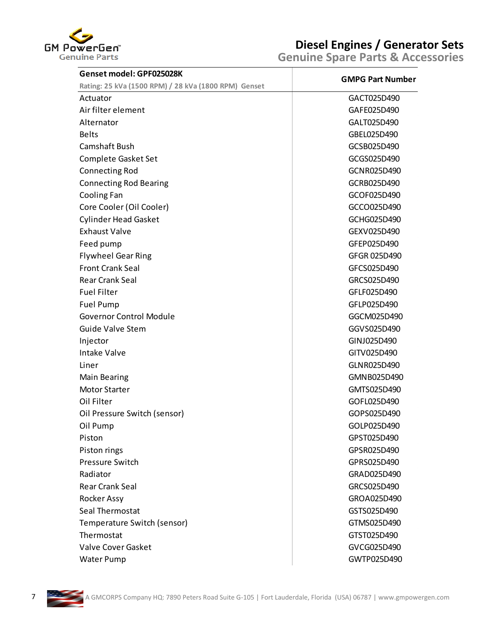

| Genset model: GPF025028K                             | <b>GMPG Part Number</b> |
|------------------------------------------------------|-------------------------|
| Rating: 25 kVa (1500 RPM) / 28 kVa (1800 RPM) Genset |                         |
| Actuator                                             | GACT025D490             |
| Air filter element                                   | GAFE025D490             |
| Alternator                                           | GALT025D490             |
|                                                      | GBEL025D490             |
| Camshaft Bush                                        | GCSB025D490             |
| Complete Gasket Set                                  | GCGS025D490             |
| <b>Connecting Rod</b>                                | GCNR025D490             |
| <b>Connecting Rod Bearing</b>                        | GCRB025D490             |
| Cooling Fan                                          | GCOF025D490             |
| Core Cooler (Oil Cooler)                             | GCCO025D490             |
| <b>Cylinder Head Gasket</b>                          | GCHG025D490             |
| <b>Exhaust Valve</b>                                 | GEXV025D490             |
| Feed pump                                            | GFEP025D490             |
| <b>Flywheel Gear Ring</b>                            | GFGR 025D490            |
| <b>Front Crank Seal</b>                              | GFCS025D490             |
| <b>Rear Crank Seal</b>                               | GRCS025D490             |
| <b>Fuel Filter</b>                                   | GFLF025D490             |
| <b>Fuel Pump</b>                                     | GFLP025D490             |
| <b>Governor Control Module</b>                       | GGCM025D490             |
| <b>Guide Valve Stem</b>                              | GGVS025D490             |
| Injector                                             | GINJ025D490             |
| <b>Intake Valve</b>                                  | GITV025D490             |
|                                                      | GLNR025D490             |
| Main Bearing                                         | GMNB025D490             |
| <b>Motor Starter</b>                                 | GMTS025D490             |
| Oil Filter                                           | GOFL025D490             |
| Oil Pressure Switch (sensor)                         | GOPS025D490             |
| Oil Pump                                             | GOLP025D490             |
|                                                      | GPST025D490             |
| Piston rings                                         | GPSR025D490             |
| <b>Pressure Switch</b>                               | GPRS025D490             |
| Radiator                                             | GRAD025D490             |
| <b>Rear Crank Seal</b>                               | GRCS025D490             |
| Rocker Assy                                          | GROA025D490             |
| Seal Thermostat                                      | GSTS025D490             |
| Temperature Switch (sensor)                          | GTMS025D490             |
| Thermostat                                           | GTST025D490             |
| Valve Cover Gasket                                   | GVCG025D490             |
| Water Pump                                           | GWTP025D490             |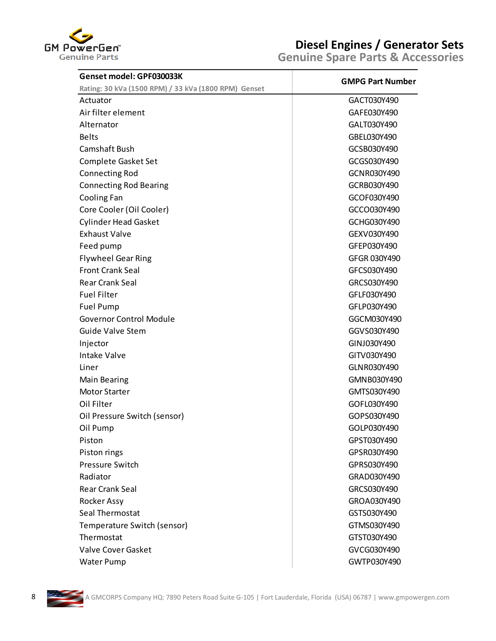

| Genset model: GPF030033K                             | <b>GMPG Part Number</b> |
|------------------------------------------------------|-------------------------|
| Rating: 30 kVa (1500 RPM) / 33 kVa (1800 RPM) Genset |                         |
| Actuator                                             | GACT030Y490             |
| Air filter element                                   | GAFE030Y490             |
| Alternator                                           | GALT030Y490             |
| <b>Belts</b>                                         | GBEL030Y490             |
| Camshaft Bush                                        | GCSB030Y490             |
| Complete Gasket Set                                  | GCGS030Y490             |
| <b>Connecting Rod</b>                                | GCNR030Y490             |
| <b>Connecting Rod Bearing</b>                        | GCRB030Y490             |
| Cooling Fan                                          | GCOF030Y490             |
| Core Cooler (Oil Cooler)                             | GCCO030Y490             |
| <b>Cylinder Head Gasket</b>                          | GCHG030Y490             |
| <b>Exhaust Valve</b>                                 | GEXV030Y490             |
| Feed pump                                            | GFEP030Y490             |
| <b>Flywheel Gear Ring</b>                            | GFGR 030Y490            |
| <b>Front Crank Seal</b>                              | GFCS030Y490             |
| <b>Rear Crank Seal</b>                               | GRCS030Y490             |
| <b>Fuel Filter</b>                                   | GFLF030Y490             |
| Fuel Pump                                            | GFLP030Y490             |
| <b>Governor Control Module</b>                       | GGCM030Y490             |
| <b>Guide Valve Stem</b>                              | GGVS030Y490             |
| Injector                                             | GINJ030Y490             |
| <b>Intake Valve</b>                                  | GITV030Y490             |
| Liner                                                | GLNR030Y490             |
| <b>Main Bearing</b>                                  | GMNB030Y490             |
| <b>Motor Starter</b>                                 | GMTS030Y490             |
| Oil Filter                                           | GOFL030Y490             |
| Oil Pressure Switch (sensor)                         | GOPS030Y490             |
| Oil Pump                                             | GOLP030Y490             |
| Piston                                               | GPST030Y490             |
| Piston rings                                         | GPSR030Y490             |
| <b>Pressure Switch</b>                               | GPRS030Y490             |
| Radiator                                             | GRAD030Y490             |
| <b>Rear Crank Seal</b>                               | GRCS030Y490             |
| Rocker Assy                                          | GROA030Y490             |
| Seal Thermostat                                      | GSTS030Y490             |
| Temperature Switch (sensor)                          | GTMS030Y490             |
| Thermostat                                           | GTST030Y490             |
| <b>Valve Cover Gasket</b>                            | GVCG030Y490             |
| Water Pump                                           | GWTP030Y490             |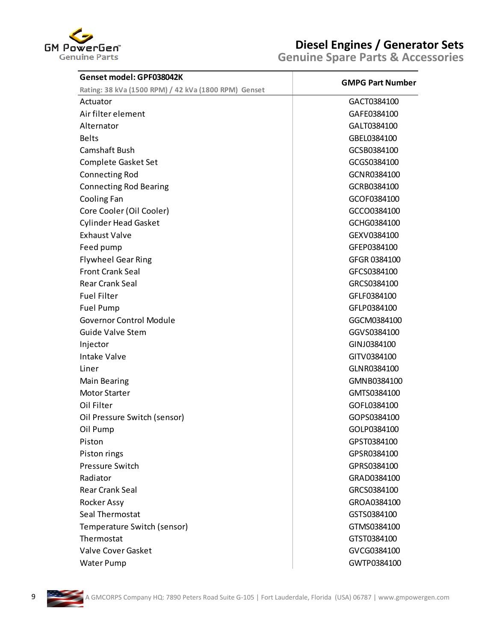

| Genset model: GPF038042K                             | <b>GMPG Part Number</b> |
|------------------------------------------------------|-------------------------|
| Rating: 38 kVa (1500 RPM) / 42 kVa (1800 RPM) Genset |                         |
| Actuator                                             | GACT0384100             |
| Air filter element                                   | GAFE0384100             |
| Alternator                                           | GALT0384100             |
| <b>Belts</b>                                         | GBEL0384100             |
| Camshaft Bush                                        | GCSB0384100             |
| Complete Gasket Set                                  | GCGS0384100             |
| <b>Connecting Rod</b>                                | GCNR0384100             |
| <b>Connecting Rod Bearing</b>                        | GCRB0384100             |
| Cooling Fan                                          | GCOF0384100             |
| Core Cooler (Oil Cooler)                             | GCCO0384100             |
| <b>Cylinder Head Gasket</b>                          | GCHG0384100             |
| <b>Exhaust Valve</b>                                 | GEXV0384100             |
| Feed pump                                            | GFEP0384100             |
| <b>Flywheel Gear Ring</b>                            | GFGR 0384100            |
| <b>Front Crank Seal</b>                              | GFCS0384100             |
| <b>Rear Crank Seal</b>                               | GRCS0384100             |
| <b>Fuel Filter</b>                                   | GFLF0384100             |
| <b>Fuel Pump</b>                                     | GFLP0384100             |
| <b>Governor Control Module</b>                       | GGCM0384100             |
| <b>Guide Valve Stem</b>                              | GGVS0384100             |
| Injector                                             | GINJ0384100             |
| <b>Intake Valve</b>                                  | GITV0384100             |
| Liner                                                | GLNR0384100             |
| <b>Main Bearing</b>                                  | GMNB0384100             |
| <b>Motor Starter</b>                                 | GMTS0384100             |
| Oil Filter                                           | GOFL0384100             |
| Oil Pressure Switch (sensor)                         | GOPS0384100             |
| Oil Pump                                             | GOLP0384100             |
| Piston                                               | GPST0384100             |
| Piston rings                                         | GPSR0384100             |
| <b>Pressure Switch</b>                               | GPRS0384100             |
| Radiator                                             | GRAD0384100             |
| <b>Rear Crank Seal</b>                               | GRCS0384100             |
| Rocker Assy                                          | GROA0384100             |
| Seal Thermostat                                      | GSTS0384100             |
| Temperature Switch (sensor)                          | GTMS0384100             |
| Thermostat                                           | GTST0384100             |
| <b>Valve Cover Gasket</b>                            | GVCG0384100             |
| <b>Water Pump</b>                                    | GWTP0384100             |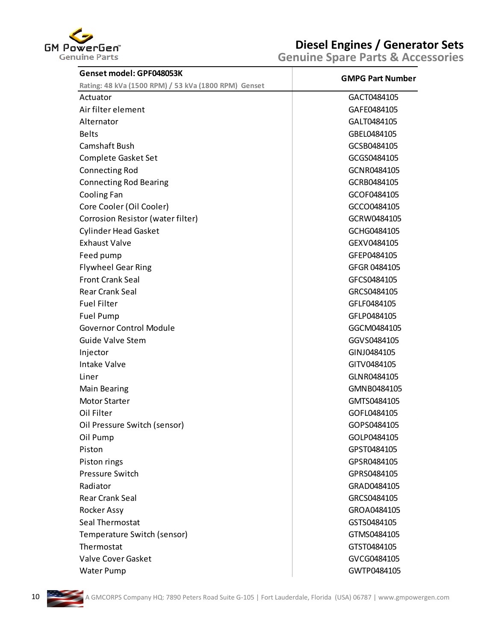

| Genset model: GPF048053K                             |                         |
|------------------------------------------------------|-------------------------|
| Rating: 48 kVa (1500 RPM) / 53 kVa (1800 RPM) Genset | <b>GMPG Part Number</b> |
| Actuator                                             | GACT0484105             |
| Air filter element                                   | GAFE0484105             |
| Alternator                                           | GALT0484105             |
| <b>Belts</b>                                         | GBEL0484105             |
| Camshaft Bush                                        | GCSB0484105             |
| Complete Gasket Set                                  | GCGS0484105             |
| <b>Connecting Rod</b>                                | GCNR0484105             |
| <b>Connecting Rod Bearing</b>                        | GCRB0484105             |
| Cooling Fan                                          | GCOF0484105             |
| Core Cooler (Oil Cooler)                             | GCCO0484105             |
| Corrosion Resistor (water filter)                    | GCRW0484105             |
| <b>Cylinder Head Gasket</b>                          | GCHG0484105             |
| <b>Exhaust Valve</b>                                 | GEXV0484105             |
| Feed pump                                            | GFEP0484105             |
| <b>Flywheel Gear Ring</b>                            | GFGR 0484105            |
| <b>Front Crank Seal</b>                              | GFCS0484105             |
| <b>Rear Crank Seal</b>                               | GRCS0484105             |
| <b>Fuel Filter</b>                                   | GFLF0484105             |
| <b>Fuel Pump</b>                                     | GFLP0484105             |
| <b>Governor Control Module</b>                       | GGCM0484105             |
| <b>Guide Valve Stem</b>                              | GGVS0484105             |
| Injector                                             | GINJ0484105             |
| <b>Intake Valve</b>                                  | GITV0484105             |
| Liner                                                | GLNR0484105             |
| <b>Main Bearing</b>                                  | GMNB0484105             |
| Motor Starter                                        | GMTS0484105             |
| Oil Filter                                           | GOFL0484105             |
| Oil Pressure Switch (sensor)                         | GOPS0484105             |
| Oil Pump                                             | GOLP0484105             |
| Piston                                               | GPST0484105             |
| Piston rings                                         | GPSR0484105             |
| <b>Pressure Switch</b>                               | GPRS0484105             |
| Radiator                                             | GRAD0484105             |
| <b>Rear Crank Seal</b>                               | GRCS0484105             |
| <b>Rocker Assy</b>                                   | GROA0484105             |
| Seal Thermostat                                      | GSTS0484105             |
| Temperature Switch (sensor)                          | GTMS0484105             |
| Thermostat                                           | GTST0484105             |
| <b>Valve Cover Gasket</b>                            | GVCG0484105             |
| Water Pump                                           | GWTP0484105             |

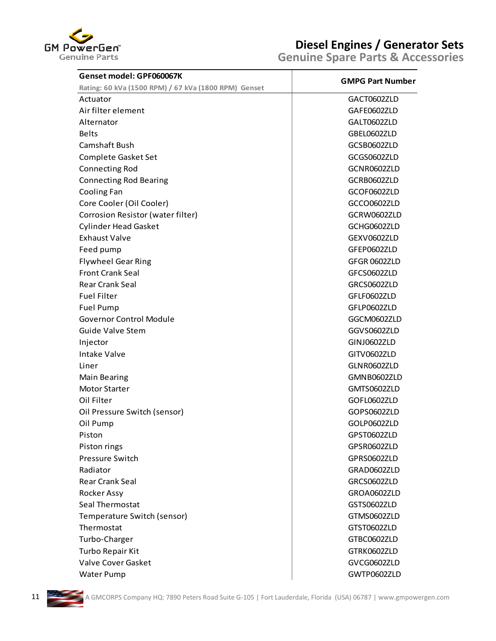

| Genset model: GPF060067K                             | <b>Genuine Spare Parts &amp; Accessories</b> |  |
|------------------------------------------------------|----------------------------------------------|--|
| Rating: 60 kVa (1500 RPM) / 67 kVa (1800 RPM) Genset | <b>GMPG Part Number</b>                      |  |
| Actuator                                             | GACT0602ZLD                                  |  |
| Air filter element                                   | GAFE0602ZLD                                  |  |
| Alternator                                           | GALT0602ZLD                                  |  |
| <b>Belts</b>                                         | GBEL0602ZLD                                  |  |
| Camshaft Bush                                        | GCSB0602ZLD                                  |  |
| Complete Gasket Set                                  | GCGS0602ZLD                                  |  |
| <b>Connecting Rod</b>                                | GCNR0602ZLD                                  |  |
| <b>Connecting Rod Bearing</b>                        | GCRB0602ZLD                                  |  |
| Cooling Fan                                          | GCOF0602ZLD                                  |  |
| Core Cooler (Oil Cooler)                             | GCCO0602ZLD                                  |  |
| Corrosion Resistor (water filter)                    | GCRW0602ZLD                                  |  |
| <b>Cylinder Head Gasket</b>                          | GCHG0602ZLD                                  |  |
| <b>Exhaust Valve</b>                                 | GEXV0602ZLD                                  |  |
| Feed pump                                            | GFEP0602ZLD                                  |  |
| <b>Flywheel Gear Ring</b>                            | GFGR 0602ZLD                                 |  |
| <b>Front Crank Seal</b>                              | GFCS0602ZLD                                  |  |
| <b>Rear Crank Seal</b>                               | GRCS0602ZLD                                  |  |
| <b>Fuel Filter</b>                                   | GFLF0602ZLD                                  |  |
| Fuel Pump                                            | GFLP0602ZLD                                  |  |
| <b>Governor Control Module</b>                       | GGCM0602ZLD                                  |  |
| <b>Guide Valve Stem</b>                              | GGVS0602ZLD                                  |  |
| Injector                                             | GINJ0602ZLD                                  |  |
| <b>Intake Valve</b>                                  | GITV0602ZLD                                  |  |
| Liner                                                | GLNR0602ZLD                                  |  |
| <b>Main Bearing</b>                                  | GMNB0602ZLD                                  |  |
| <b>Motor Starter</b>                                 | GMTS0602ZLD                                  |  |
| Oil Filter                                           | GOFL0602ZLD                                  |  |
| Oil Pressure Switch (sensor)                         | GOPS0602ZLD                                  |  |
| Oil Pump                                             | GOLP0602ZLD                                  |  |
| Piston                                               | GPST0602ZLD                                  |  |
| Piston rings                                         | GPSR0602ZLD                                  |  |
| Pressure Switch                                      | GPRS0602ZLD                                  |  |
| Radiator                                             | GRAD0602ZLD                                  |  |
| <b>Rear Crank Seal</b>                               | GRCS0602ZLD                                  |  |
| Rocker Assy                                          | GROA0602ZLD                                  |  |
| Seal Thermostat                                      | GSTS0602ZLD                                  |  |
| Temperature Switch (sensor)                          | GTMS0602ZLD                                  |  |
| Thermostat                                           | GTST0602ZLD                                  |  |
| Turbo-Charger                                        | GTBC0602ZLD                                  |  |
| Turbo Repair Kit                                     | GTRK0602ZLD                                  |  |
| Valve Cover Gasket                                   | GVCG0602ZLD                                  |  |
| <b>Water Pump</b>                                    | GWTP0602ZLD                                  |  |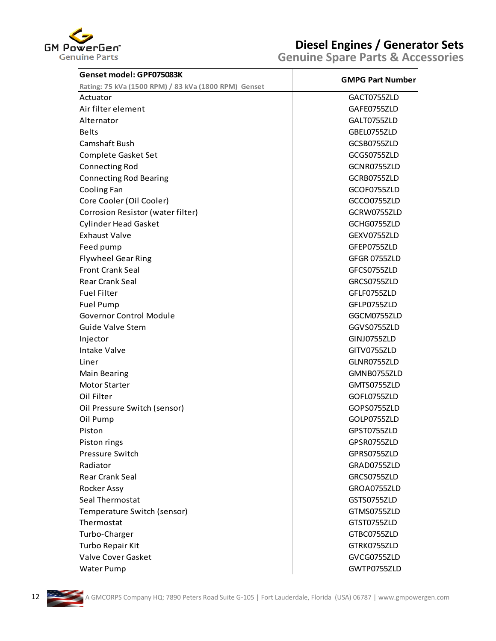

| Genset model: GPF075083K                             | <b>GMPG Part Number</b> |
|------------------------------------------------------|-------------------------|
| Rating: 75 kVa (1500 RPM) / 83 kVa (1800 RPM) Genset |                         |
| Actuator                                             | GACT0755ZLD             |
| Air filter element                                   | GAFE0755ZLD             |
| Alternator                                           | GALT0755ZLD             |
| <b>Belts</b>                                         | GBEL0755ZLD             |
| Camshaft Bush                                        | GCSB0755ZLD             |
| Complete Gasket Set                                  | GCGS0755ZLD             |
| <b>Connecting Rod</b>                                | GCNR0755ZLD             |
| <b>Connecting Rod Bearing</b>                        | GCRB0755ZLD             |
| Cooling Fan                                          | GCOF0755ZLD             |
| Core Cooler (Oil Cooler)                             | GCCO0755ZLD             |
| Corrosion Resistor (water filter)                    | GCRW0755ZLD             |
| <b>Cylinder Head Gasket</b>                          | GCHG0755ZLD             |
| <b>Exhaust Valve</b>                                 | GEXV0755ZLD             |
| Feed pump                                            | GFEP0755ZLD             |
| <b>Flywheel Gear Ring</b>                            | GFGR 0755ZLD            |
| <b>Front Crank Seal</b>                              | GFCS0755ZLD             |
| <b>Rear Crank Seal</b>                               | GRCS0755ZLD             |
| <b>Fuel Filter</b>                                   | GFLF0755ZLD             |
| <b>Fuel Pump</b>                                     | GFLP0755ZLD             |
| <b>Governor Control Module</b>                       | GGCM0755ZLD             |
| <b>Guide Valve Stem</b>                              | GGVS0755ZLD             |
| Injector                                             | GINJ0755ZLD             |
| <b>Intake Valve</b>                                  | GITV0755ZLD             |
| Liner                                                | GLNR0755ZLD             |
| <b>Main Bearing</b>                                  | GMNB0755ZLD             |
| Motor Starter                                        | GMTS0755ZLD             |
| Oil Filter                                           | GOFL0755ZLD             |
| Oil Pressure Switch (sensor)                         | GOPS0755ZLD             |
| Oil Pump                                             | GOLP0755ZLD             |
| Piston                                               | GPST0755ZLD             |
| Piston rings                                         | GPSR0755ZLD             |
| <b>Pressure Switch</b>                               | GPRS0755ZLD             |
| Radiator                                             | GRAD0755ZLD             |
| <b>Rear Crank Seal</b>                               | GRCS0755ZLD             |
| Rocker Assy                                          | GROA0755ZLD             |
| Seal Thermostat                                      | GSTS0755ZLD             |
| Temperature Switch (sensor)                          | GTMS0755ZLD             |
| Thermostat                                           | GTST0755ZLD             |
| Turbo-Charger                                        | GTBC0755ZLD             |
| Turbo Repair Kit                                     | GTRK0755ZLD             |
| Valve Cover Gasket                                   | GVCG0755ZLD             |
| <b>Water Pump</b>                                    | GWTP0755ZLD             |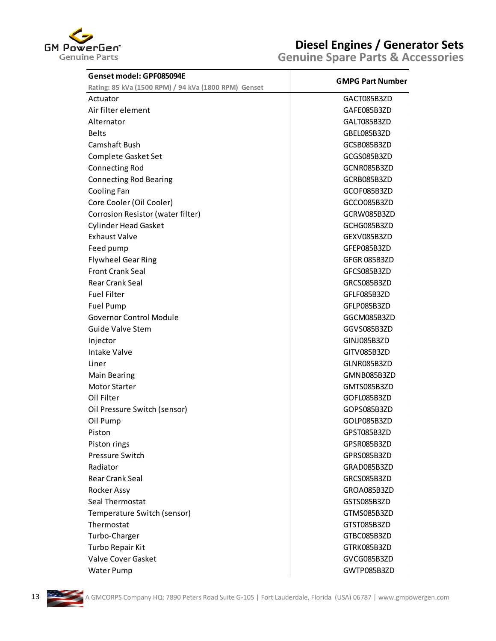

| Genset model: GPF085094E                             |                         |
|------------------------------------------------------|-------------------------|
| Rating: 85 kVa (1500 RPM) / 94 kVa (1800 RPM) Genset | <b>GMPG Part Number</b> |
| Actuator                                             | GACT085B3ZD             |
| Air filter element                                   | GAFE085B3ZD             |
| Alternator                                           | GALT085B3ZD             |
| <b>Belts</b>                                         | GBEL085B3ZD             |
| Camshaft Bush                                        | GCSB085B3ZD             |
| Complete Gasket Set                                  | GCGS085B3ZD             |
| <b>Connecting Rod</b>                                | GCNR085B3ZD             |
| <b>Connecting Rod Bearing</b>                        | GCRB085B3ZD             |
| Cooling Fan                                          | GCOF085B3ZD             |
| Core Cooler (Oil Cooler)                             | GCCO085B3ZD             |
| Corrosion Resistor (water filter)                    | GCRW085B3ZD             |
| <b>Cylinder Head Gasket</b>                          | GCHG085B3ZD             |
| <b>Exhaust Valve</b>                                 | GEXV085B3ZD             |
| Feed pump                                            | GFEP085B3ZD             |
| <b>Flywheel Gear Ring</b>                            | GFGR 085B3ZD            |
| <b>Front Crank Seal</b>                              | GFCS085B3ZD             |
| <b>Rear Crank Seal</b>                               | GRCS085B3ZD             |
| <b>Fuel Filter</b>                                   | GFLF085B3ZD             |
| Fuel Pump                                            | GFLP085B3ZD             |
| <b>Governor Control Module</b>                       | GGCM085B3ZD             |
| <b>Guide Valve Stem</b>                              | GGVS085B3ZD             |
| Injector                                             | GINJ085B3ZD             |
| <b>Intake Valve</b>                                  | GITV085B3ZD             |
| Liner                                                | GLNR085B3ZD             |
| <b>Main Bearing</b>                                  | GMNB085B3ZD             |
| <b>Motor Starter</b>                                 | GMTS085B3ZD             |
| Oil Filter                                           | GOFL085B3ZD             |
| Oil Pressure Switch (sensor)                         | GOPS085B3ZD             |
| Oil Pump                                             | GOLP085B3ZD             |
| Piston                                               | GPST085B3ZD             |
| Piston rings                                         | GPSR085B3ZD             |
| Pressure Switch                                      | GPRS085B3ZD             |
| Radiator                                             | GRAD085B3ZD             |
| <b>Rear Crank Seal</b>                               | GRCS085B3ZD             |
| Rocker Assy                                          | GROA085B3ZD             |
| Seal Thermostat                                      | GSTS085B3ZD             |
| Temperature Switch (sensor)                          | GTMS085B3ZD             |
| Thermostat                                           | GTST085B3ZD             |
| Turbo-Charger                                        | GTBC085B3ZD             |
| Turbo Repair Kit                                     | GTRK085B3ZD             |
| Valve Cover Gasket                                   | GVCG085B3ZD             |
| <b>Water Pump</b>                                    | GWTP085B3ZD             |

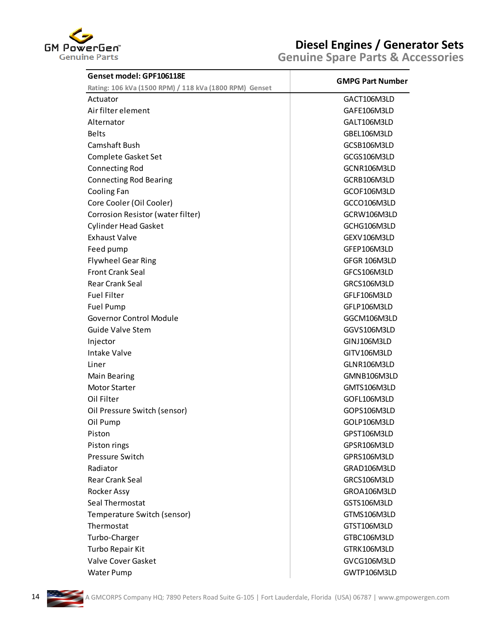

| Genset model: GPF106118E                               |                         |
|--------------------------------------------------------|-------------------------|
| Rating: 106 kVa (1500 RPM) / 118 kVa (1800 RPM) Genset | <b>GMPG Part Number</b> |
| Actuator                                               | GACT106M3LD             |
| Air filter element                                     | GAFE106M3LD             |
| Alternator                                             | GALT106M3LD             |
| <b>Belts</b>                                           | GBEL106M3LD             |
| Camshaft Bush                                          | GCSB106M3LD             |
| Complete Gasket Set                                    | GCGS106M3LD             |
| <b>Connecting Rod</b>                                  | GCNR106M3LD             |
| <b>Connecting Rod Bearing</b>                          | GCRB106M3LD             |
| Cooling Fan                                            | GCOF106M3LD             |
| Core Cooler (Oil Cooler)                               | GCCO106M3LD             |
| Corrosion Resistor (water filter)                      | GCRW106M3LD             |
| <b>Cylinder Head Gasket</b>                            | GCHG106M3LD             |
| <b>Exhaust Valve</b>                                   | GEXV106M3LD             |
| Feed pump                                              | GFEP106M3LD             |
| <b>Flywheel Gear Ring</b>                              | GFGR 106M3LD            |
| <b>Front Crank Seal</b>                                | GFCS106M3LD             |
| <b>Rear Crank Seal</b>                                 | GRCS106M3LD             |
| <b>Fuel Filter</b>                                     | GFLF106M3LD             |
| <b>Fuel Pump</b>                                       | GFLP106M3LD             |
| <b>Governor Control Module</b>                         | GGCM106M3LD             |
| Guide Valve Stem                                       | GGVS106M3LD             |
| Injector                                               | GINJ106M3LD             |
| <b>Intake Valve</b>                                    | GITV106M3LD             |
| Liner                                                  | GLNR106M3LD             |
| <b>Main Bearing</b>                                    | GMNB106M3LD             |
| <b>Motor Starter</b>                                   | GMTS106M3LD             |
| Oil Filter                                             | GOFL106M3LD             |
| Oil Pressure Switch (sensor)                           | GOPS106M3LD             |
| Oil Pump                                               | GOLP106M3LD             |
| Piston                                                 | GPST106M3LD             |
| Piston rings                                           | GPSR106M3LD             |
| Pressure Switch                                        | GPRS106M3LD             |
| Radiator                                               | GRAD106M3LD             |
| Rear Crank Seal                                        | GRCS106M3LD             |
| Rocker Assy                                            | GROA106M3LD             |
| Seal Thermostat                                        | GSTS106M3LD             |
| Temperature Switch (sensor)                            | GTMS106M3LD             |
| Thermostat                                             | GTST106M3LD             |
| Turbo-Charger                                          | GTBC106M3LD             |
| Turbo Repair Kit                                       | GTRK106M3LD             |
| Valve Cover Gasket                                     | GVCG106M3LD             |
| Water Pump                                             | GWTP106M3LD             |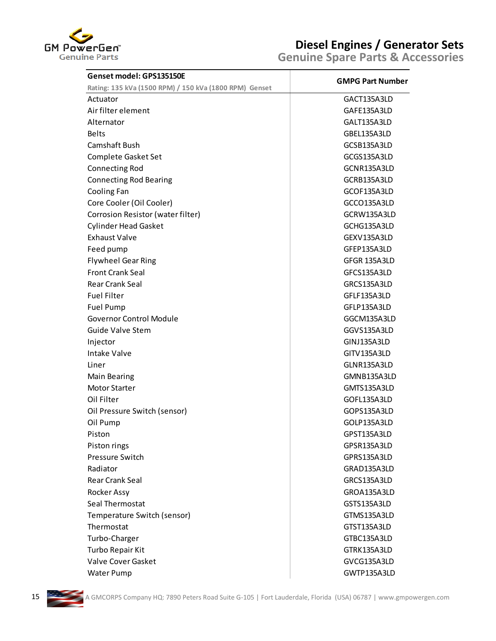

| Genset model: GPS135150E                               |                         |
|--------------------------------------------------------|-------------------------|
| Rating: 135 kVa (1500 RPM) / 150 kVa (1800 RPM) Genset | <b>GMPG Part Number</b> |
| Actuator                                               | GACT135A3LD             |
| Air filter element                                     | GAFE135A3LD             |
| Alternator                                             | GALT135A3LD             |
| <b>Belts</b>                                           | GBEL135A3LD             |
| Camshaft Bush                                          | GCSB135A3LD             |
| Complete Gasket Set                                    | GCGS135A3LD             |
| <b>Connecting Rod</b>                                  | GCNR135A3LD             |
| <b>Connecting Rod Bearing</b>                          | GCRB135A3LD             |
| Cooling Fan                                            | GCOF135A3LD             |
| Core Cooler (Oil Cooler)                               | GCCO135A3LD             |
| Corrosion Resistor (water filter)                      | GCRW135A3LD             |
| <b>Cylinder Head Gasket</b>                            | GCHG135A3LD             |
| <b>Exhaust Valve</b>                                   | GEXV135A3LD             |
| Feed pump                                              | GFEP135A3LD             |
| <b>Flywheel Gear Ring</b>                              | GFGR 135A3LD            |
| <b>Front Crank Seal</b>                                | GFCS135A3LD             |
| <b>Rear Crank Seal</b>                                 | GRCS135A3LD             |
| <b>Fuel Filter</b>                                     | GFLF135A3LD             |
| Fuel Pump                                              | GFLP135A3LD             |
| <b>Governor Control Module</b>                         | GGCM135A3LD             |
| <b>Guide Valve Stem</b>                                | GGVS135A3LD             |
| Injector                                               | GINJ135A3LD             |
| <b>Intake Valve</b>                                    | GITV135A3LD             |
| Liner                                                  | GLNR135A3LD             |
| <b>Main Bearing</b>                                    | GMNB135A3LD             |
| Motor Starter                                          | GMTS135A3LD             |
| Oil Filter                                             | GOFL135A3LD             |
| Oil Pressure Switch (sensor)                           | GOPS135A3LD             |
| Oil Pump                                               | GOLP135A3LD             |
| Piston                                                 | GPST135A3LD             |
| Piston rings                                           | GPSR135A3LD             |
| Pressure Switch                                        | GPRS135A3LD             |
| Radiator                                               | GRAD135A3LD             |
| Rear Crank Seal                                        | GRCS135A3LD             |
| Rocker Assy                                            | GROA135A3LD             |
| Seal Thermostat                                        | GSTS135A3LD             |
| Temperature Switch (sensor)                            | GTMS135A3LD             |
| Thermostat                                             | GTST135A3LD             |
| Turbo-Charger                                          | GTBC135A3LD             |
| Turbo Repair Kit                                       | GTRK135A3LD             |
| Valve Cover Gasket                                     | GVCG135A3LD             |
| Water Pump                                             | GWTP135A3LD             |

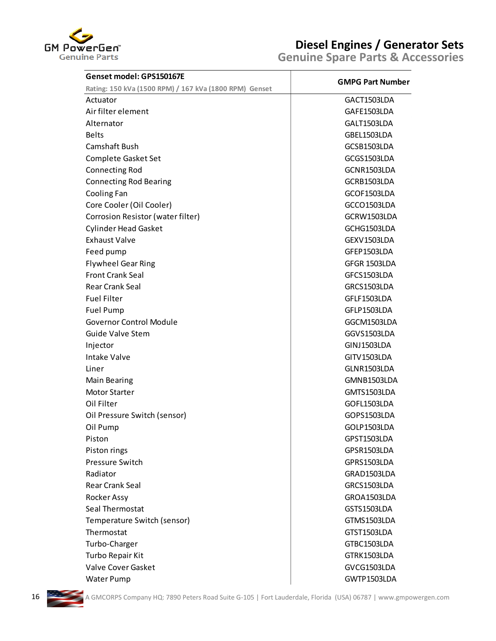

|                                                                                    | <b>Genuine Spare Parts &amp; Accessories</b> |  |
|------------------------------------------------------------------------------------|----------------------------------------------|--|
| Genset model: GPS150167E<br>Rating: 150 kVa (1500 RPM) / 167 kVa (1800 RPM) Genset | <b>GMPG Part Number</b>                      |  |
| Actuator                                                                           | GACT1503LDA                                  |  |
| Air filter element                                                                 | GAFE1503LDA                                  |  |
| Alternator                                                                         | GALT1503LDA                                  |  |
| <b>Belts</b>                                                                       | GBEL1503LDA                                  |  |
| Camshaft Bush                                                                      | GCSB1503LDA                                  |  |
| Complete Gasket Set                                                                | GCGS1503LDA                                  |  |
| <b>Connecting Rod</b>                                                              | GCNR1503LDA                                  |  |
| <b>Connecting Rod Bearing</b>                                                      | GCRB1503LDA                                  |  |
| Cooling Fan                                                                        | GCOF1503LDA                                  |  |
| Core Cooler (Oil Cooler)                                                           | GCCO1503LDA                                  |  |
| Corrosion Resistor (water filter)                                                  | GCRW1503LDA                                  |  |
| <b>Cylinder Head Gasket</b>                                                        | GCHG1503LDA                                  |  |
| <b>Exhaust Valve</b>                                                               | GEXV1503LDA                                  |  |
| Feed pump                                                                          | GFEP1503LDA                                  |  |
| <b>Flywheel Gear Ring</b>                                                          | GFGR 1503LDA                                 |  |
| <b>Front Crank Seal</b>                                                            | GFCS1503LDA                                  |  |
| Rear Crank Seal                                                                    | GRCS1503LDA                                  |  |
| <b>Fuel Filter</b>                                                                 | GFLF1503LDA                                  |  |
| Fuel Pump                                                                          | GFLP1503LDA                                  |  |
| <b>Governor Control Module</b>                                                     | GGCM1503LDA                                  |  |
| <b>Guide Valve Stem</b>                                                            | GGVS1503LDA                                  |  |
| Injector                                                                           | GINJ1503LDA                                  |  |
| <b>Intake Valve</b>                                                                | GITV1503LDA                                  |  |
| Liner                                                                              | GLNR1503LDA                                  |  |
| <b>Main Bearing</b>                                                                | GMNB1503LDA                                  |  |
| <b>Motor Starter</b>                                                               | GMTS1503LDA                                  |  |
| Oil Filter                                                                         | GOFL1503LDA                                  |  |
| Oil Pressure Switch (sensor)                                                       | GOPS1503LDA                                  |  |
| Oil Pump                                                                           | GOLP1503LDA                                  |  |
| Piston                                                                             | GPST1503LDA                                  |  |
| Piston rings                                                                       | GPSR1503LDA                                  |  |
| <b>Pressure Switch</b>                                                             | GPRS1503LDA                                  |  |
| Radiator                                                                           | GRAD1503LDA                                  |  |
| <b>Rear Crank Seal</b>                                                             | GRCS1503LDA                                  |  |
| Rocker Assy                                                                        | GROA1503LDA                                  |  |
| Seal Thermostat                                                                    | GSTS1503LDA                                  |  |
| Temperature Switch (sensor)                                                        | GTMS1503LDA                                  |  |
| Thermostat                                                                         | GTST1503LDA                                  |  |
|                                                                                    | GTBC1503LDA                                  |  |
| Turbo-Charger                                                                      | GTRK1503LDA                                  |  |
| Turbo Repair Kit<br>Valve Cover Gasket                                             |                                              |  |
| <b>Water Pump</b>                                                                  | GVCG1503LDA<br>GWTP1503LDA                   |  |

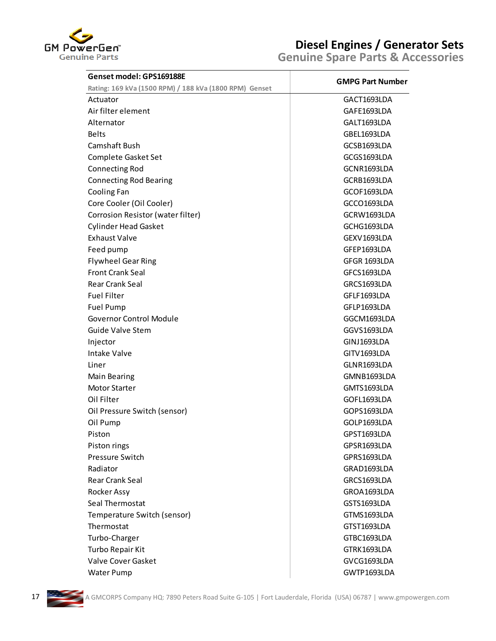

| Genset model: GPS169188E                               | <b>GMPG Part Number</b> |
|--------------------------------------------------------|-------------------------|
| Rating: 169 kVa (1500 RPM) / 188 kVa (1800 RPM) Genset |                         |
| Actuator                                               | GACT1693LDA             |
| Air filter element                                     | GAFE1693LDA             |
| Alternator                                             | GALT1693LDA             |
| <b>Belts</b>                                           | GBEL1693LDA             |
| <b>Camshaft Bush</b>                                   | GCSB1693LDA             |
| Complete Gasket Set                                    | GCGS1693LDA             |
| <b>Connecting Rod</b>                                  | GCNR1693LDA             |
| <b>Connecting Rod Bearing</b>                          | GCRB1693LDA             |
| Cooling Fan                                            | GCOF1693LDA             |
| Core Cooler (Oil Cooler)                               | GCCO1693LDA             |
| Corrosion Resistor (water filter)                      | GCRW1693LDA             |
| <b>Cylinder Head Gasket</b>                            | GCHG1693LDA             |
| <b>Exhaust Valve</b>                                   | GEXV1693LDA             |
| Feed pump                                              | GFEP1693LDA             |
| <b>Flywheel Gear Ring</b>                              | GFGR 1693LDA            |
| <b>Front Crank Seal</b>                                | GFCS1693LDA             |
| <b>Rear Crank Seal</b>                                 | GRCS1693LDA             |
| <b>Fuel Filter</b>                                     | GFLF1693LDA             |
| <b>Fuel Pump</b>                                       | GFLP1693LDA             |
| <b>Governor Control Module</b>                         | GGCM1693LDA             |
| Guide Valve Stem                                       | GGVS1693LDA             |
| Injector                                               | GINJ1693LDA             |
| <b>Intake Valve</b>                                    | GITV1693LDA             |
| Liner                                                  | GLNR1693LDA             |
| <b>Main Bearing</b>                                    | GMNB1693LDA             |
| <b>Motor Starter</b>                                   | GMTS1693LDA             |
| Oil Filter                                             | GOFL1693LDA             |
| Oil Pressure Switch (sensor)                           | GOPS1693LDA             |
| Oil Pump                                               | GOLP1693LDA             |
| Piston                                                 | GPST1693LDA             |
| Piston rings                                           | GPSR1693LDA             |
| Pressure Switch                                        | GPRS1693LDA             |
| Radiator                                               | GRAD1693LDA             |
| <b>Rear Crank Seal</b>                                 | GRCS1693LDA             |
| Rocker Assy                                            | GROA1693LDA             |
| Seal Thermostat                                        | GSTS1693LDA             |
| Temperature Switch (sensor)                            | GTMS1693LDA             |
| Thermostat                                             | GTST1693LDA             |
| Turbo-Charger                                          | GTBC1693LDA             |
| Turbo Repair Kit                                       | GTRK1693LDA             |
| Valve Cover Gasket                                     | GVCG1693LDA             |

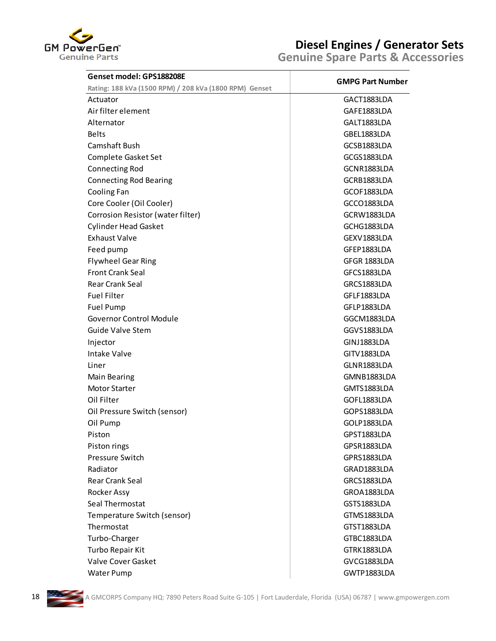

| Genset model: GPS188208E                               | <b>GMPG Part Number</b> |
|--------------------------------------------------------|-------------------------|
| Rating: 188 kVa (1500 RPM) / 208 kVa (1800 RPM) Genset |                         |
| Actuator                                               | GACT1883LDA             |
| Air filter element                                     | GAFE1883LDA             |
| Alternator                                             | GALT1883LDA             |
| <b>Belts</b>                                           | GBEL1883LDA             |
| Camshaft Bush                                          | GCSB1883LDA             |
| Complete Gasket Set                                    | GCGS1883LDA             |
| <b>Connecting Rod</b>                                  | GCNR1883LDA             |
| <b>Connecting Rod Bearing</b>                          | GCRB1883LDA             |
| Cooling Fan                                            | GCOF1883LDA             |
| Core Cooler (Oil Cooler)                               | GCCO1883LDA             |
| Corrosion Resistor (water filter)                      | GCRW1883LDA             |
| <b>Cylinder Head Gasket</b>                            | GCHG1883LDA             |
| <b>Exhaust Valve</b>                                   | GEXV1883LDA             |
| Feed pump                                              | GFEP1883LDA             |
| <b>Flywheel Gear Ring</b>                              | GFGR 1883LDA            |
| <b>Front Crank Seal</b>                                | GFCS1883LDA             |
| <b>Rear Crank Seal</b>                                 | GRCS1883LDA             |
| <b>Fuel Filter</b>                                     | GFLF1883LDA             |
| <b>Fuel Pump</b>                                       | GFLP1883LDA             |
| <b>Governor Control Module</b>                         | GGCM1883LDA             |
| Guide Valve Stem                                       | GGVS1883LDA             |
| Injector                                               | GINJ1883LDA             |
| <b>Intake Valve</b>                                    | GITV1883LDA             |
| Liner                                                  | GLNR1883LDA             |
| <b>Main Bearing</b>                                    | GMNB1883LDA             |
| <b>Motor Starter</b>                                   | GMTS1883LDA             |
| Oil Filter                                             | GOFL1883LDA             |
| Oil Pressure Switch (sensor)                           | GOPS1883LDA             |
| Oil Pump                                               | GOLP1883LDA             |
| Piston                                                 | GPST1883LDA             |
| Piston rings                                           | GPSR1883LDA             |
| Pressure Switch                                        | GPRS1883LDA             |
| Radiator                                               | GRAD1883LDA             |
| Rear Crank Seal                                        | GRCS1883LDA             |
| Rocker Assy                                            | GROA1883LDA             |
| Seal Thermostat                                        | GSTS1883LDA             |
| Temperature Switch (sensor)                            | GTMS1883LDA             |
| Thermostat                                             | GTST1883LDA             |
| Turbo-Charger                                          | GTBC1883LDA             |
| Turbo Repair Kit                                       | GTRK1883LDA             |
| Valve Cover Gasket                                     | GVCG1883LDA             |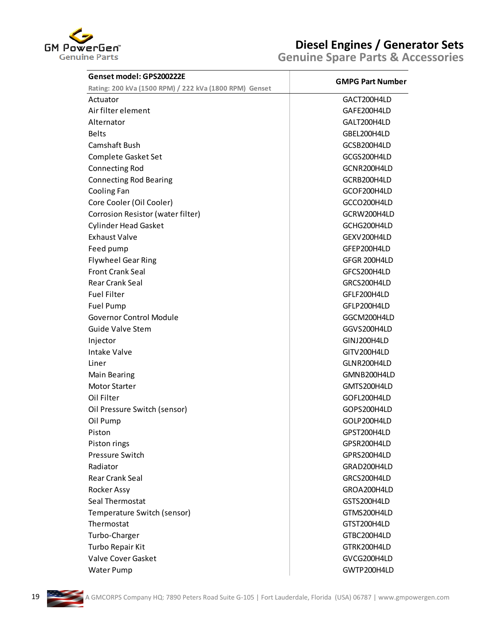

| Genset model: GPS200222E                               | <b>GMPG Part Number</b> |
|--------------------------------------------------------|-------------------------|
| Rating: 200 kVa (1500 RPM) / 222 kVa (1800 RPM) Genset |                         |
| Actuator                                               | GACT200H4LD             |
| Air filter element                                     | GAFE200H4LD             |
| Alternator                                             | GALT200H4LD             |
| <b>Belts</b>                                           | GBEL200H4LD             |
| Camshaft Bush                                          | GCSB200H4LD             |
| Complete Gasket Set                                    | GCGS200H4LD             |
| <b>Connecting Rod</b>                                  | GCNR200H4LD             |
| <b>Connecting Rod Bearing</b>                          | GCRB200H4LD             |
| Cooling Fan                                            | GCOF200H4LD             |
| Core Cooler (Oil Cooler)                               | GCCO200H4LD             |
| Corrosion Resistor (water filter)                      | GCRW200H4LD             |
| <b>Cylinder Head Gasket</b>                            | GCHG200H4LD             |
| <b>Exhaust Valve</b>                                   | GEXV200H4LD             |
| Feed pump                                              | GFEP200H4LD             |
| <b>Flywheel Gear Ring</b>                              | GFGR 200H4LD            |
| <b>Front Crank Seal</b>                                | GFCS200H4LD             |
| <b>Rear Crank Seal</b>                                 | GRCS200H4LD             |
| <b>Fuel Filter</b>                                     | GFLF200H4LD             |
| Fuel Pump                                              | GFLP200H4LD             |
| <b>Governor Control Module</b>                         | GGCM200H4LD             |
| <b>Guide Valve Stem</b>                                | GGVS200H4LD             |
| Injector                                               | GINJ200H4LD             |
| <b>Intake Valve</b>                                    | GITV200H4LD             |
| Liner                                                  | GLNR200H4LD             |
| <b>Main Bearing</b>                                    | GMNB200H4LD             |
| <b>Motor Starter</b>                                   | GMTS200H4LD             |
| Oil Filter                                             | GOFL200H4LD             |
| Oil Pressure Switch (sensor)                           | GOPS200H4LD             |
| Oil Pump                                               | GOLP200H4LD             |
| Piston                                                 | GPST200H4LD             |
| Piston rings                                           | GPSR200H4LD             |
| Pressure Switch                                        | GPRS200H4LD             |
| Radiator                                               | GRAD200H4LD             |
| Rear Crank Seal                                        | GRCS200H4LD             |
| Rocker Assy                                            | GROA200H4LD             |
| Seal Thermostat                                        | GSTS200H4LD             |
| Temperature Switch (sensor)                            | GTMS200H4LD             |
| Thermostat                                             | GTST200H4LD             |
| Turbo-Charger                                          | GTBC200H4LD             |
| Turbo Repair Kit                                       | GTRK200H4LD             |
| Valve Cover Gasket                                     | GVCG200H4LD             |

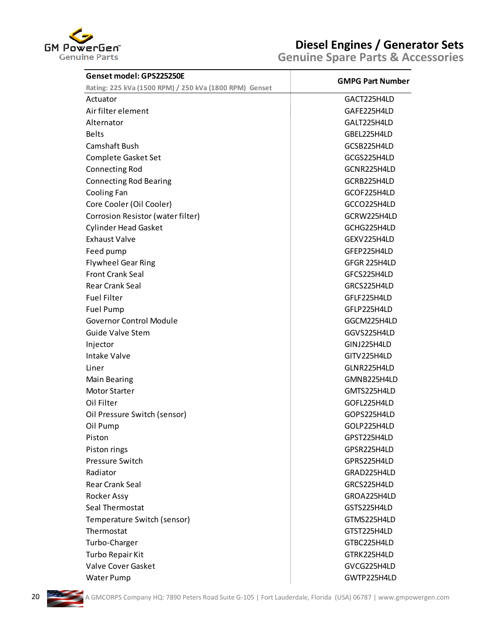

| Genset model: GPS225250E                               |                         |
|--------------------------------------------------------|-------------------------|
| Rating: 225 kVa (1500 RPM) / 250 kVa (1800 RPM) Genset | <b>GMPG Part Number</b> |
| Actuator                                               | GACT225H4LD             |
| Air filter element                                     | GAFE225H4LD             |
| Alternator                                             | GALT225H4LD             |
| <b>Belts</b>                                           | GBEL225H4LD             |
| Camshaft Bush                                          | GCSB225H4LD             |
| Complete Gasket Set                                    | GCGS225H4LD             |
| <b>Connecting Rod</b>                                  | GCNR225H4LD             |
| <b>Connecting Rod Bearing</b>                          | GCRB225H4LD             |
| Cooling Fan                                            | GCOF225H4LD             |
| Core Cooler (Oil Cooler)                               | GCCO225H4LD             |
| Corrosion Resistor (water filter)                      | GCRW225H4LD             |
| <b>Cylinder Head Gasket</b>                            | GCHG225H4LD             |
| <b>Exhaust Valve</b>                                   | GEXV225H4LD             |
| Feed pump                                              | GFEP225H4LD             |
| <b>Flywheel Gear Ring</b>                              | GFGR 225H4LD            |
| <b>Front Crank Seal</b>                                | GFCS225H4LD             |
| Rear Crank Seal                                        | GRCS225H4LD             |
| <b>Fuel Filter</b>                                     | GFLF225H4LD             |
| Fuel Pump                                              | GFLP225H4LD             |
| <b>Governor Control Module</b>                         | GGCM225H4LD             |
| <b>Guide Valve Stem</b>                                | GGVS225H4LD             |
| Injector                                               | GINJ225H4LD             |
| <b>Intake Valve</b>                                    | GITV225H4LD             |
| Liner                                                  | GLNR225H4LD             |
| <b>Main Bearing</b>                                    | GMNB225H4LD             |
| <b>Motor Starter</b>                                   | GMTS225H4LD             |
| Oil Filter                                             | GOFL225H4LD             |
| Oil Pressure Switch (sensor)                           | GOPS225H4LD             |
| Oil Pump                                               | GOLP225H4LD             |
| Piston                                                 | GPST225H4LD             |
| Piston rings                                           | GPSR225H4LD             |
| <b>Pressure Switch</b>                                 | GPRS225H4LD             |
| Radiator                                               | GRAD225H4LD             |
| Rear Crank Seal                                        | GRCS225H4LD             |
| Rocker Assy                                            | GROA225H4LD             |
| Seal Thermostat                                        | GSTS225H4LD             |
| Temperature Switch (sensor)                            | GTMS225H4LD             |
| Thermostat                                             | GTST225H4LD             |
| Turbo-Charger                                          | GTBC225H4LD             |
| Turbo Repair Kit                                       | GTRK225H4LD             |
| Valve Cover Gasket                                     | GVCG225H4LD             |
| <b>Water Pump</b>                                      | GWTP225H4LD             |

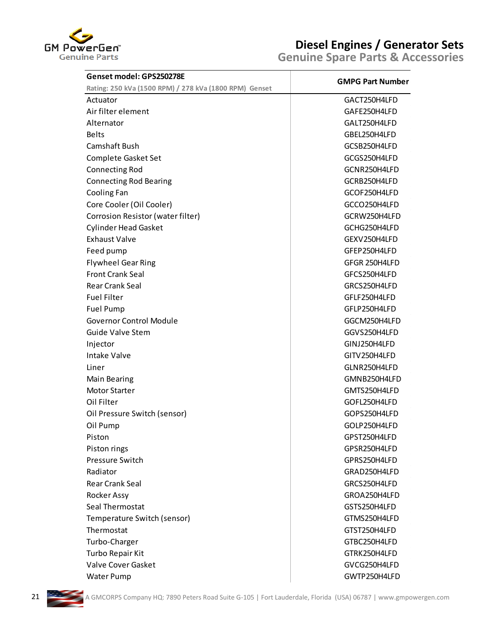

| <b>GMPG Part Number</b><br>GACT250H4LFD<br>GAFE250H4LFD<br>GALT250H4LFD<br>GBEL250H4LFD<br>GCSB250H4LFD<br>GCGS250H4LFD<br>GCNR250H4LFD<br>GCRB250H4LFD<br>GCOF250H4LFD<br>GCCO250H4LFD<br>GCRW250H4LFD<br>GCHG250H4LFD<br>GEXV250H4LFD<br>GFEP250H4LFD<br>GFGR 250H4LFD<br>GFCS250H4LFD<br>GRCS250H4LFD<br>GFLF250H4LFD<br>GFLP250H4LFD<br>GGCM250H4LFD<br>GGVS250H4LFD<br>GINJ250H4LFD<br>GITV250H4LFD<br>GLNR250H4LFD<br>GMNB250H4LFD<br>GMTS250H4LFD<br>GOFL250H4LFD<br>GOPS250H4LFD<br>GOLP250H4LFD<br>GPST250H4LFD<br>GPSR250H4LFD<br>GPRS250H4LFD<br>GRAD250H4LFD<br>GRCS250H4LFD<br>GROA250H4LFD<br>GSTS250H4LFD<br>GTMS250H4LFD<br>GTST250H4LFD<br>GTBC250H4LFD<br>GTRK250H4LFD | Genset model: GPS250278E                               |              |
|------------------------------------------------------------------------------------------------------------------------------------------------------------------------------------------------------------------------------------------------------------------------------------------------------------------------------------------------------------------------------------------------------------------------------------------------------------------------------------------------------------------------------------------------------------------------------------------------------------------------------------------------------------------------------------------|--------------------------------------------------------|--------------|
|                                                                                                                                                                                                                                                                                                                                                                                                                                                                                                                                                                                                                                                                                          | Rating: 250 kVa (1500 RPM) / 278 kVa (1800 RPM) Genset |              |
|                                                                                                                                                                                                                                                                                                                                                                                                                                                                                                                                                                                                                                                                                          | Actuator                                               |              |
|                                                                                                                                                                                                                                                                                                                                                                                                                                                                                                                                                                                                                                                                                          | Air filter element                                     |              |
|                                                                                                                                                                                                                                                                                                                                                                                                                                                                                                                                                                                                                                                                                          | Alternator                                             |              |
|                                                                                                                                                                                                                                                                                                                                                                                                                                                                                                                                                                                                                                                                                          | <b>Belts</b>                                           |              |
|                                                                                                                                                                                                                                                                                                                                                                                                                                                                                                                                                                                                                                                                                          | Camshaft Bush                                          |              |
|                                                                                                                                                                                                                                                                                                                                                                                                                                                                                                                                                                                                                                                                                          | Complete Gasket Set                                    |              |
|                                                                                                                                                                                                                                                                                                                                                                                                                                                                                                                                                                                                                                                                                          | <b>Connecting Rod</b>                                  |              |
|                                                                                                                                                                                                                                                                                                                                                                                                                                                                                                                                                                                                                                                                                          | <b>Connecting Rod Bearing</b>                          |              |
|                                                                                                                                                                                                                                                                                                                                                                                                                                                                                                                                                                                                                                                                                          | Cooling Fan                                            |              |
|                                                                                                                                                                                                                                                                                                                                                                                                                                                                                                                                                                                                                                                                                          | Core Cooler (Oil Cooler)                               |              |
|                                                                                                                                                                                                                                                                                                                                                                                                                                                                                                                                                                                                                                                                                          | Corrosion Resistor (water filter)                      |              |
|                                                                                                                                                                                                                                                                                                                                                                                                                                                                                                                                                                                                                                                                                          | <b>Cylinder Head Gasket</b>                            |              |
|                                                                                                                                                                                                                                                                                                                                                                                                                                                                                                                                                                                                                                                                                          | <b>Exhaust Valve</b>                                   |              |
|                                                                                                                                                                                                                                                                                                                                                                                                                                                                                                                                                                                                                                                                                          | Feed pump                                              |              |
|                                                                                                                                                                                                                                                                                                                                                                                                                                                                                                                                                                                                                                                                                          | <b>Flywheel Gear Ring</b>                              |              |
|                                                                                                                                                                                                                                                                                                                                                                                                                                                                                                                                                                                                                                                                                          | <b>Front Crank Seal</b>                                |              |
|                                                                                                                                                                                                                                                                                                                                                                                                                                                                                                                                                                                                                                                                                          | <b>Rear Crank Seal</b>                                 |              |
|                                                                                                                                                                                                                                                                                                                                                                                                                                                                                                                                                                                                                                                                                          | <b>Fuel Filter</b>                                     |              |
|                                                                                                                                                                                                                                                                                                                                                                                                                                                                                                                                                                                                                                                                                          | <b>Fuel Pump</b>                                       |              |
|                                                                                                                                                                                                                                                                                                                                                                                                                                                                                                                                                                                                                                                                                          | <b>Governor Control Module</b>                         |              |
|                                                                                                                                                                                                                                                                                                                                                                                                                                                                                                                                                                                                                                                                                          | Guide Valve Stem                                       |              |
|                                                                                                                                                                                                                                                                                                                                                                                                                                                                                                                                                                                                                                                                                          | Injector                                               |              |
|                                                                                                                                                                                                                                                                                                                                                                                                                                                                                                                                                                                                                                                                                          | Intake Valve                                           |              |
|                                                                                                                                                                                                                                                                                                                                                                                                                                                                                                                                                                                                                                                                                          | Liner                                                  |              |
|                                                                                                                                                                                                                                                                                                                                                                                                                                                                                                                                                                                                                                                                                          | <b>Main Bearing</b>                                    |              |
|                                                                                                                                                                                                                                                                                                                                                                                                                                                                                                                                                                                                                                                                                          | <b>Motor Starter</b>                                   |              |
|                                                                                                                                                                                                                                                                                                                                                                                                                                                                                                                                                                                                                                                                                          | Oil Filter                                             |              |
|                                                                                                                                                                                                                                                                                                                                                                                                                                                                                                                                                                                                                                                                                          | Oil Pressure Switch (sensor)                           |              |
|                                                                                                                                                                                                                                                                                                                                                                                                                                                                                                                                                                                                                                                                                          | Oil Pump                                               |              |
|                                                                                                                                                                                                                                                                                                                                                                                                                                                                                                                                                                                                                                                                                          | Piston                                                 |              |
|                                                                                                                                                                                                                                                                                                                                                                                                                                                                                                                                                                                                                                                                                          | Piston rings                                           |              |
|                                                                                                                                                                                                                                                                                                                                                                                                                                                                                                                                                                                                                                                                                          | Pressure Switch                                        |              |
|                                                                                                                                                                                                                                                                                                                                                                                                                                                                                                                                                                                                                                                                                          | Radiator                                               |              |
|                                                                                                                                                                                                                                                                                                                                                                                                                                                                                                                                                                                                                                                                                          | <b>Rear Crank Seal</b>                                 |              |
|                                                                                                                                                                                                                                                                                                                                                                                                                                                                                                                                                                                                                                                                                          | Rocker Assy                                            |              |
|                                                                                                                                                                                                                                                                                                                                                                                                                                                                                                                                                                                                                                                                                          | Seal Thermostat                                        |              |
|                                                                                                                                                                                                                                                                                                                                                                                                                                                                                                                                                                                                                                                                                          | Temperature Switch (sensor)                            |              |
|                                                                                                                                                                                                                                                                                                                                                                                                                                                                                                                                                                                                                                                                                          | Thermostat                                             |              |
|                                                                                                                                                                                                                                                                                                                                                                                                                                                                                                                                                                                                                                                                                          | Turbo-Charger                                          |              |
|                                                                                                                                                                                                                                                                                                                                                                                                                                                                                                                                                                                                                                                                                          | Turbo Repair Kit                                       |              |
|                                                                                                                                                                                                                                                                                                                                                                                                                                                                                                                                                                                                                                                                                          | Valve Cover Gasket                                     | GVCG250H4LFD |

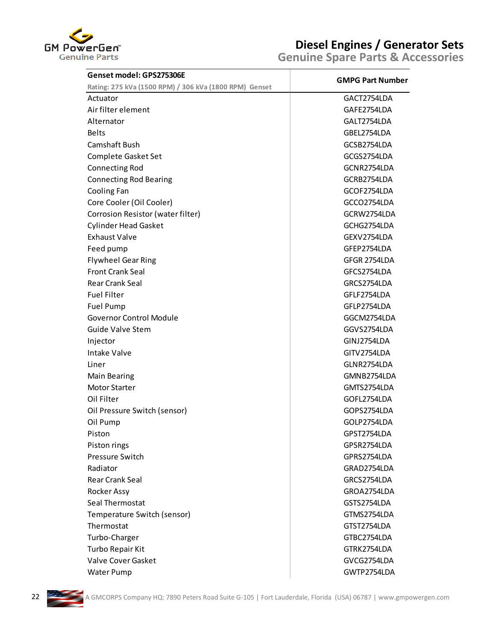

| Genset model: GPS275306E                               |                         |
|--------------------------------------------------------|-------------------------|
| Rating: 275 kVa (1500 RPM) / 306 kVa (1800 RPM) Genset | <b>GMPG Part Number</b> |
| Actuator                                               | GACT2754LDA             |
| Air filter element                                     | GAFE2754LDA             |
| Alternator                                             | GALT2754LDA             |
| <b>Belts</b>                                           | GBEL2754LDA             |
| <b>Camshaft Bush</b>                                   | GCSB2754LDA             |
| Complete Gasket Set                                    | GCGS2754LDA             |
| <b>Connecting Rod</b>                                  | GCNR2754LDA             |
| <b>Connecting Rod Bearing</b>                          | GCRB2754LDA             |
| Cooling Fan                                            | GCOF2754LDA             |
| Core Cooler (Oil Cooler)                               | GCCO2754LDA             |
| Corrosion Resistor (water filter)                      | GCRW2754LDA             |
| <b>Cylinder Head Gasket</b>                            | GCHG2754LDA             |
| <b>Exhaust Valve</b>                                   | GEXV2754LDA             |
| Feed pump                                              | GFEP2754LDA             |
| <b>Flywheel Gear Ring</b>                              | GFGR 2754LDA            |
| <b>Front Crank Seal</b>                                | GFCS2754LDA             |
| <b>Rear Crank Seal</b>                                 | GRCS2754LDA             |
| <b>Fuel Filter</b>                                     | GFLF2754LDA             |
| <b>Fuel Pump</b>                                       | GFLP2754LDA             |
| <b>Governor Control Module</b>                         | GGCM2754LDA             |
| <b>Guide Valve Stem</b>                                | GGVS2754LDA             |
| Injector                                               | GINJ2754LDA             |
| <b>Intake Valve</b>                                    | GITV2754LDA             |
| Liner                                                  | GLNR2754LDA             |
| <b>Main Bearing</b>                                    | GMNB2754LDA             |
| <b>Motor Starter</b>                                   | GMTS2754LDA             |
| Oil Filter                                             | GOFL2754LDA             |
| Oil Pressure Switch (sensor)                           | GOPS2754LDA             |
| Oil Pump                                               | GOLP2754LDA             |
| Piston                                                 | GPST2754LDA             |
| Piston rings                                           | GPSR2754LDA             |
| Pressure Switch                                        | GPRS2754LDA             |
| Radiator                                               | GRAD2754LDA             |
| Rear Crank Seal                                        | GRCS2754LDA             |
| Rocker Assy                                            | GROA2754LDA             |
| Seal Thermostat                                        | GSTS2754LDA             |
| Temperature Switch (sensor)                            | GTMS2754LDA             |
| Thermostat                                             | GTST2754LDA             |
| Turbo-Charger                                          | GTBC2754LDA             |
| Turbo Repair Kit                                       | GTRK2754LDA             |
| Valve Cover Gasket                                     | GVCG2754LDA             |
| Water Pump                                             | GWTP2754LDA             |

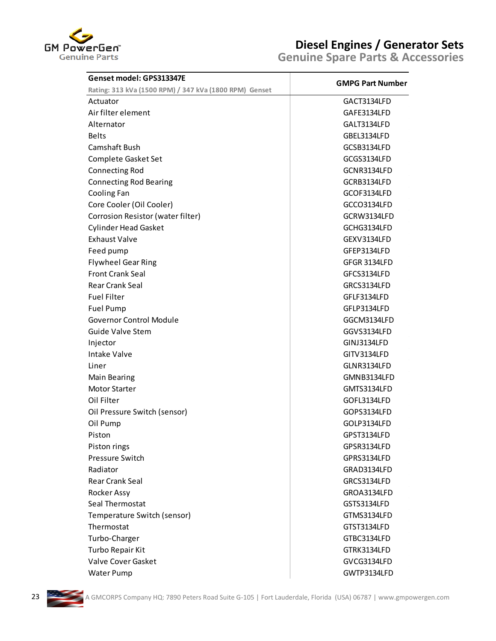

| Genset model: GPS313347E                               |                         |
|--------------------------------------------------------|-------------------------|
| Rating: 313 kVa (1500 RPM) / 347 kVa (1800 RPM) Genset | <b>GMPG Part Number</b> |
| Actuator                                               | GACT3134LFD             |
| Air filter element                                     | GAFE3134LFD             |
| Alternator                                             | GALT3134LFD             |
| <b>Belts</b>                                           | GBEL3134LFD             |
| Camshaft Bush                                          | GCSB3134LFD             |
| Complete Gasket Set                                    | GCGS3134LFD             |
| <b>Connecting Rod</b>                                  | GCNR3134LFD             |
| <b>Connecting Rod Bearing</b>                          | GCRB3134LFD             |
| Cooling Fan                                            | GCOF3134LFD             |
| Core Cooler (Oil Cooler)                               | GCCO3134LFD             |
| Corrosion Resistor (water filter)                      | GCRW3134LFD             |
| <b>Cylinder Head Gasket</b>                            | GCHG3134LFD             |
| <b>Exhaust Valve</b>                                   | GEXV3134LFD             |
| Feed pump                                              | GFEP3134LFD             |
| <b>Flywheel Gear Ring</b>                              | GFGR 3134LFD            |
| <b>Front Crank Seal</b>                                | GFCS3134LFD             |
| <b>Rear Crank Seal</b>                                 | GRCS3134LFD             |
| <b>Fuel Filter</b>                                     | GFLF3134LFD             |
| Fuel Pump                                              | GFLP3134LFD             |
| <b>Governor Control Module</b>                         | GGCM3134LFD             |
| Guide Valve Stem                                       | GGVS3134LFD             |
| Injector                                               | GINJ3134LFD             |
| Intake Valve                                           | GITV3134LFD             |
| Liner                                                  | GLNR3134LFD             |
| <b>Main Bearing</b>                                    | GMNB3134LFD             |
| <b>Motor Starter</b>                                   | GMTS3134LFD             |
| Oil Filter                                             | GOFL3134LFD             |
| Oil Pressure Switch (sensor)                           | GOPS3134LFD             |
| Oil Pump                                               | GOLP3134LFD             |
| Piston                                                 | GPST3134LFD             |
| Piston rings                                           | GPSR3134LFD             |
| Pressure Switch                                        | GPRS3134LFD             |
| Radiator                                               | GRAD3134LFD             |
| <b>Rear Crank Seal</b>                                 | GRCS3134LFD             |
| Rocker Assy                                            | GROA3134LFD             |
| Seal Thermostat                                        | GSTS3134LFD             |
| Temperature Switch (sensor)                            | GTMS3134LFD             |
| Thermostat                                             | GTST3134LFD             |
| Turbo-Charger                                          | GTBC3134LFD             |
| Turbo Repair Kit                                       | GTRK3134LFD             |
| Valve Cover Gasket                                     | GVCG3134LFD             |

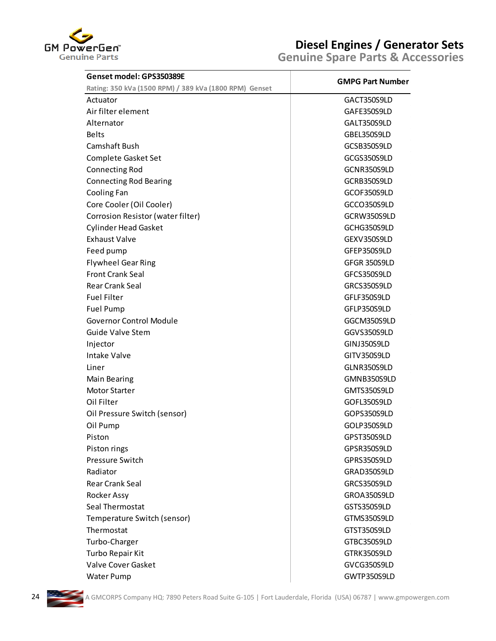

| Genset model: GPS350389E                               |                         |
|--------------------------------------------------------|-------------------------|
| Rating: 350 kVa (1500 RPM) / 389 kVa (1800 RPM) Genset | <b>GMPG Part Number</b> |
| Actuator                                               | GACT350S9LD             |
| Air filter element                                     | GAFE350S9LD             |
| Alternator                                             | GALT350S9LD             |
| <b>Belts</b>                                           | GBEL350S9LD             |
| Camshaft Bush                                          | GCSB350S9LD             |
| Complete Gasket Set                                    | GCGS350S9LD             |
| <b>Connecting Rod</b>                                  | GCNR350S9LD             |
| <b>Connecting Rod Bearing</b>                          | GCRB350S9LD             |
| Cooling Fan                                            | GCOF350S9LD             |
| Core Cooler (Oil Cooler)                               | GCCO350S9LD             |
| Corrosion Resistor (water filter)                      | GCRW350S9LD             |
| <b>Cylinder Head Gasket</b>                            | GCHG350S9LD             |
| <b>Exhaust Valve</b>                                   | GEXV350S9LD             |
| Feed pump                                              | GFEP350S9LD             |
| <b>Flywheel Gear Ring</b>                              | GFGR 350S9LD            |
| <b>Front Crank Seal</b>                                | GFCS350S9LD             |
| <b>Rear Crank Seal</b>                                 | GRCS350S9LD             |
| <b>Fuel Filter</b>                                     | GFLF350S9LD             |
| <b>Fuel Pump</b>                                       | GFLP350S9LD             |
| <b>Governor Control Module</b>                         | GGCM350S9LD             |
| Guide Valve Stem                                       | GGVS350S9LD             |
| Injector                                               | GINJ350S9LD             |
| Intake Valve                                           | GITV350S9LD             |
| Liner                                                  | GLNR350S9LD             |
| <b>Main Bearing</b>                                    | GMNB350S9LD             |
| <b>Motor Starter</b>                                   | GMTS350S9LD             |
| Oil Filter                                             | GOFL350S9LD             |
| Oil Pressure Switch (sensor)                           | GOPS350S9LD             |
| Oil Pump                                               | GOLP350S9LD             |
| Piston                                                 | GPST350S9LD             |
| Piston rings                                           | GPSR350S9LD             |
| Pressure Switch                                        | GPRS350S9LD             |
| Radiator                                               | GRAD350S9LD             |
| <b>Rear Crank Seal</b>                                 | GRCS350S9LD             |
| Rocker Assy                                            | GROA350S9LD             |
| Seal Thermostat                                        | GSTS350S9LD             |
| Temperature Switch (sensor)                            | GTMS350S9LD             |
| Thermostat                                             | GTST350S9LD             |
| Turbo-Charger                                          | GTBC350S9LD             |
| Turbo Repair Kit                                       | GTRK350S9LD             |
| Valve Cover Gasket                                     | GVCG350S9LD             |
| Water Pump                                             | GWTP350S9LD             |

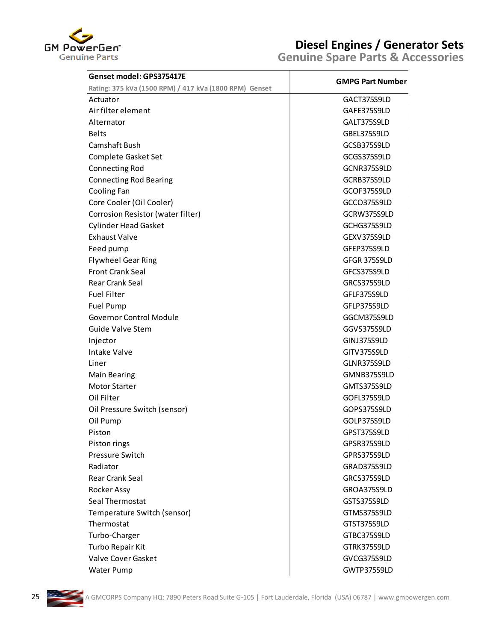

| Genset model: GPS375417E                               | <b>GMPG Part Number</b>    |
|--------------------------------------------------------|----------------------------|
| Rating: 375 kVa (1500 RPM) / 417 kVa (1800 RPM) Genset |                            |
| Actuator                                               | GACT375S9LD                |
| Air filter element                                     | GAFE375S9LD                |
| Alternator                                             | GALT375S9LD                |
| <b>Belts</b>                                           | GBEL375S9LD                |
| Camshaft Bush                                          | GCSB375S9LD                |
| Complete Gasket Set                                    | GCGS375S9LD                |
| <b>Connecting Rod</b>                                  | GCNR375S9LD                |
| <b>Connecting Rod Bearing</b>                          | GCRB375S9LD                |
| Cooling Fan                                            | GCOF375S9LD                |
| Core Cooler (Oil Cooler)                               | GCCO375S9LD                |
| Corrosion Resistor (water filter)                      | GCRW375S9LD                |
| <b>Cylinder Head Gasket</b>                            | GCHG375S9LD                |
| <b>Exhaust Valve</b>                                   | GEXV375S9LD                |
| Feed pump                                              | GFEP375S9LD                |
| <b>Flywheel Gear Ring</b>                              | GFGR 375S9LD               |
| <b>Front Crank Seal</b>                                | GFCS375S9LD                |
| <b>Rear Crank Seal</b>                                 | GRCS375S9LD                |
| <b>Fuel Filter</b>                                     | GFLF375S9LD                |
| Fuel Pump                                              | GFLP375S9LD                |
| <b>Governor Control Module</b>                         | GGCM375S9LD                |
| Guide Valve Stem                                       | GGVS375S9LD                |
| Injector                                               | GINJ375S9LD                |
| Intake Valve                                           | GITV375S9LD                |
| Liner                                                  | GLNR375S9LD                |
| <b>Main Bearing</b>                                    | GMNB375S9LD                |
| <b>Motor Starter</b>                                   | GMTS375S9LD                |
| Oil Filter                                             | GOFL375S9LD                |
| Oil Pressure Switch (sensor)                           | GOPS375S9LD                |
| Oil Pump                                               | GOLP375S9LD                |
| Piston                                                 | GPST375S9LD                |
| Piston rings                                           | GPSR375S9LD                |
| Pressure Switch                                        | GPRS375S9LD                |
| Radiator                                               | GRAD375S9LD                |
| Rear Crank Seal                                        | GRCS375S9LD                |
| Rocker Assy                                            | GROA375S9LD                |
| Seal Thermostat                                        | GSTS375S9LD                |
| Temperature Switch (sensor)                            | GTMS375S9LD                |
| Thermostat                                             | GTST375S9LD                |
| Turbo-Charger                                          | GTBC375S9LD                |
| Turbo Repair Kit                                       | GTRK375S9LD                |
| Valve Cover Gasket<br><b>Water Pump</b>                | GVCG375S9LD<br>GWTP375S9LD |

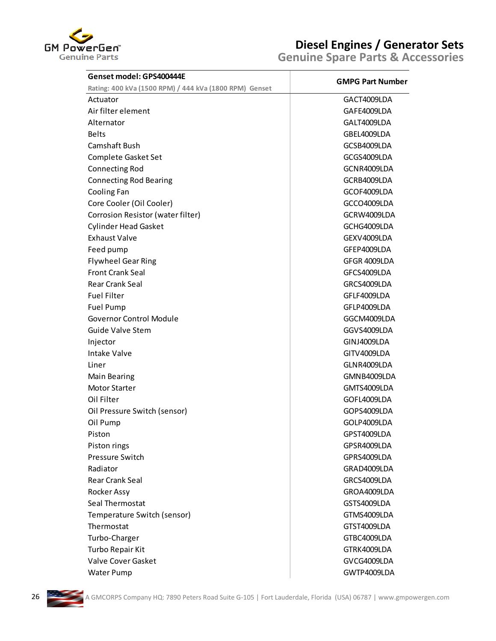

| Genset model: GPS400444E                               | <b>GMPG Part Number</b> |
|--------------------------------------------------------|-------------------------|
| Rating: 400 kVa (1500 RPM) / 444 kVa (1800 RPM) Genset |                         |
| Actuator                                               | GACT4009LDA             |
| Air filter element                                     | GAFE4009LDA             |
| Alternator                                             | GALT4009LDA             |
| <b>Belts</b>                                           | GBEL4009LDA             |
| <b>Camshaft Bush</b>                                   | GCSB4009LDA             |
| Complete Gasket Set                                    | GCGS4009LDA             |
| <b>Connecting Rod</b>                                  | GCNR4009LDA             |
| <b>Connecting Rod Bearing</b>                          | GCRB4009LDA             |
| Cooling Fan                                            | GCOF4009LDA             |
| Core Cooler (Oil Cooler)                               | GCCO4009LDA             |
| Corrosion Resistor (water filter)                      | GCRW4009LDA             |
| <b>Cylinder Head Gasket</b>                            | GCHG4009LDA             |
| <b>Exhaust Valve</b>                                   | GEXV4009LDA             |
| Feed pump                                              | GFEP4009LDA             |
| <b>Flywheel Gear Ring</b>                              | GFGR 4009LDA            |
| <b>Front Crank Seal</b>                                | GFCS4009LDA             |
| <b>Rear Crank Seal</b>                                 | GRCS4009LDA             |
| <b>Fuel Filter</b>                                     | GFLF4009LDA             |
| <b>Fuel Pump</b>                                       | GFLP4009LDA             |
| <b>Governor Control Module</b>                         | GGCM4009LDA             |
| <b>Guide Valve Stem</b>                                | GGVS4009LDA             |
| Injector                                               | GINJ4009LDA             |
| <b>Intake Valve</b>                                    | GITV4009LDA             |
| Liner                                                  | GLNR4009LDA             |
| <b>Main Bearing</b>                                    | GMNB4009LDA             |
| Motor Starter                                          | GMTS4009LDA             |
| Oil Filter                                             | GOFL4009LDA             |
| Oil Pressure Switch (sensor)                           | GOPS4009LDA             |
| Oil Pump                                               | GOLP4009LDA             |
| Piston                                                 | GPST4009LDA             |
| Piston rings                                           | GPSR4009LDA             |
| Pressure Switch                                        | GPRS4009LDA             |
| Radiator                                               | GRAD4009LDA             |
| <b>Rear Crank Seal</b>                                 | GRCS4009LDA             |
| Rocker Assy                                            | GROA4009LDA             |
| Seal Thermostat                                        | GSTS4009LDA             |
| Temperature Switch (sensor)                            | GTMS4009LDA             |
| Thermostat                                             | GTST4009LDA             |
| Turbo-Charger                                          | GTBC4009LDA             |
| Turbo Repair Kit                                       | GTRK4009LDA             |
| Valve Cover Gasket                                     | GVCG4009LDA             |

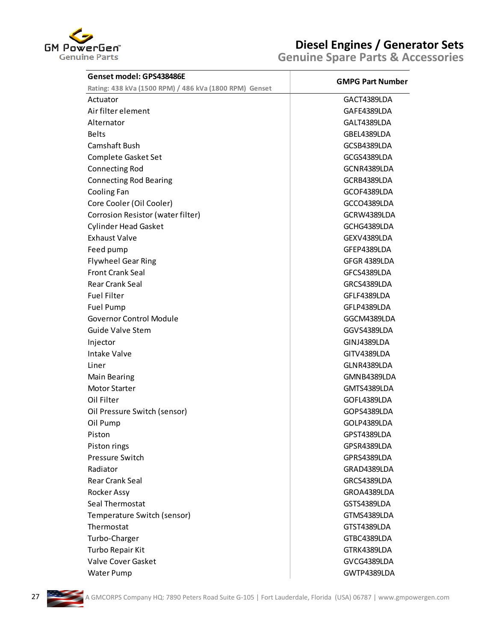

| Rating: 438 kVa (1500 RPM) / 486 kVa (1800 RPM) Genset<br>Actuator<br>Air filter element<br>Alternator<br><b>Belts</b><br>Camshaft Bush<br>Complete Gasket Set<br><b>Connecting Rod</b><br><b>Connecting Rod Bearing</b><br>Cooling Fan<br>Core Cooler (Oil Cooler)<br>Corrosion Resistor (water filter)<br><b>Cylinder Head Gasket</b><br><b>Exhaust Valve</b><br>Feed pump<br><b>Flywheel Gear Ring</b><br><b>Front Crank Seal</b><br><b>Rear Crank Seal</b><br><b>Fuel Filter</b><br><b>Fuel Pump</b><br><b>Governor Control Module</b><br>Guide Valve Stem<br>Injector<br><b>Intake Valve</b><br>Liner<br><b>Main Bearing</b> | <b>GMPG Part Number</b><br>GACT4389LDA<br>GAFE4389LDA<br>GALT4389LDA<br>GBEL4389LDA<br>GCSB4389LDA<br>GCGS4389LDA<br>GCNR4389LDA<br>GCRB4389LDA<br>GCOF4389LDA<br>GCCO4389LDA<br>GCRW4389LDA<br>GCHG4389LDA<br>GEXV4389LDA<br>GFEP4389LDA<br>GFGR 4389LDA<br>GFCS4389LDA<br>GRCS4389LDA<br>GFLF4389LDA<br>GFLP4389LDA<br>GGCM4389LDA<br>GGVS4389LDA<br>GINJ4389LDA |
|-----------------------------------------------------------------------------------------------------------------------------------------------------------------------------------------------------------------------------------------------------------------------------------------------------------------------------------------------------------------------------------------------------------------------------------------------------------------------------------------------------------------------------------------------------------------------------------------------------------------------------------|--------------------------------------------------------------------------------------------------------------------------------------------------------------------------------------------------------------------------------------------------------------------------------------------------------------------------------------------------------------------|
|                                                                                                                                                                                                                                                                                                                                                                                                                                                                                                                                                                                                                                   |                                                                                                                                                                                                                                                                                                                                                                    |
|                                                                                                                                                                                                                                                                                                                                                                                                                                                                                                                                                                                                                                   |                                                                                                                                                                                                                                                                                                                                                                    |
|                                                                                                                                                                                                                                                                                                                                                                                                                                                                                                                                                                                                                                   |                                                                                                                                                                                                                                                                                                                                                                    |
|                                                                                                                                                                                                                                                                                                                                                                                                                                                                                                                                                                                                                                   |                                                                                                                                                                                                                                                                                                                                                                    |
|                                                                                                                                                                                                                                                                                                                                                                                                                                                                                                                                                                                                                                   |                                                                                                                                                                                                                                                                                                                                                                    |
|                                                                                                                                                                                                                                                                                                                                                                                                                                                                                                                                                                                                                                   |                                                                                                                                                                                                                                                                                                                                                                    |
|                                                                                                                                                                                                                                                                                                                                                                                                                                                                                                                                                                                                                                   |                                                                                                                                                                                                                                                                                                                                                                    |
|                                                                                                                                                                                                                                                                                                                                                                                                                                                                                                                                                                                                                                   |                                                                                                                                                                                                                                                                                                                                                                    |
|                                                                                                                                                                                                                                                                                                                                                                                                                                                                                                                                                                                                                                   |                                                                                                                                                                                                                                                                                                                                                                    |
|                                                                                                                                                                                                                                                                                                                                                                                                                                                                                                                                                                                                                                   |                                                                                                                                                                                                                                                                                                                                                                    |
|                                                                                                                                                                                                                                                                                                                                                                                                                                                                                                                                                                                                                                   |                                                                                                                                                                                                                                                                                                                                                                    |
|                                                                                                                                                                                                                                                                                                                                                                                                                                                                                                                                                                                                                                   |                                                                                                                                                                                                                                                                                                                                                                    |
|                                                                                                                                                                                                                                                                                                                                                                                                                                                                                                                                                                                                                                   |                                                                                                                                                                                                                                                                                                                                                                    |
|                                                                                                                                                                                                                                                                                                                                                                                                                                                                                                                                                                                                                                   |                                                                                                                                                                                                                                                                                                                                                                    |
|                                                                                                                                                                                                                                                                                                                                                                                                                                                                                                                                                                                                                                   |                                                                                                                                                                                                                                                                                                                                                                    |
|                                                                                                                                                                                                                                                                                                                                                                                                                                                                                                                                                                                                                                   |                                                                                                                                                                                                                                                                                                                                                                    |
|                                                                                                                                                                                                                                                                                                                                                                                                                                                                                                                                                                                                                                   |                                                                                                                                                                                                                                                                                                                                                                    |
|                                                                                                                                                                                                                                                                                                                                                                                                                                                                                                                                                                                                                                   |                                                                                                                                                                                                                                                                                                                                                                    |
|                                                                                                                                                                                                                                                                                                                                                                                                                                                                                                                                                                                                                                   |                                                                                                                                                                                                                                                                                                                                                                    |
|                                                                                                                                                                                                                                                                                                                                                                                                                                                                                                                                                                                                                                   |                                                                                                                                                                                                                                                                                                                                                                    |
|                                                                                                                                                                                                                                                                                                                                                                                                                                                                                                                                                                                                                                   |                                                                                                                                                                                                                                                                                                                                                                    |
|                                                                                                                                                                                                                                                                                                                                                                                                                                                                                                                                                                                                                                   |                                                                                                                                                                                                                                                                                                                                                                    |
|                                                                                                                                                                                                                                                                                                                                                                                                                                                                                                                                                                                                                                   |                                                                                                                                                                                                                                                                                                                                                                    |
|                                                                                                                                                                                                                                                                                                                                                                                                                                                                                                                                                                                                                                   | GITV4389LDA                                                                                                                                                                                                                                                                                                                                                        |
|                                                                                                                                                                                                                                                                                                                                                                                                                                                                                                                                                                                                                                   | GLNR4389LDA                                                                                                                                                                                                                                                                                                                                                        |
|                                                                                                                                                                                                                                                                                                                                                                                                                                                                                                                                                                                                                                   | GMNB4389LDA                                                                                                                                                                                                                                                                                                                                                        |
| <b>Motor Starter</b>                                                                                                                                                                                                                                                                                                                                                                                                                                                                                                                                                                                                              | GMTS4389LDA                                                                                                                                                                                                                                                                                                                                                        |
| Oil Filter                                                                                                                                                                                                                                                                                                                                                                                                                                                                                                                                                                                                                        | GOFL4389LDA                                                                                                                                                                                                                                                                                                                                                        |
| Oil Pressure Switch (sensor)                                                                                                                                                                                                                                                                                                                                                                                                                                                                                                                                                                                                      | GOPS4389LDA                                                                                                                                                                                                                                                                                                                                                        |
| Oil Pump                                                                                                                                                                                                                                                                                                                                                                                                                                                                                                                                                                                                                          | GOLP4389LDA                                                                                                                                                                                                                                                                                                                                                        |
| Piston                                                                                                                                                                                                                                                                                                                                                                                                                                                                                                                                                                                                                            | GPST4389LDA                                                                                                                                                                                                                                                                                                                                                        |
| Piston rings                                                                                                                                                                                                                                                                                                                                                                                                                                                                                                                                                                                                                      | GPSR4389LDA                                                                                                                                                                                                                                                                                                                                                        |
| Pressure Switch                                                                                                                                                                                                                                                                                                                                                                                                                                                                                                                                                                                                                   | GPRS4389LDA                                                                                                                                                                                                                                                                                                                                                        |
| Radiator                                                                                                                                                                                                                                                                                                                                                                                                                                                                                                                                                                                                                          | GRAD4389LDA                                                                                                                                                                                                                                                                                                                                                        |
| Rear Crank Seal                                                                                                                                                                                                                                                                                                                                                                                                                                                                                                                                                                                                                   | GRCS4389LDA                                                                                                                                                                                                                                                                                                                                                        |
| Rocker Assy                                                                                                                                                                                                                                                                                                                                                                                                                                                                                                                                                                                                                       | GROA4389LDA                                                                                                                                                                                                                                                                                                                                                        |
| Seal Thermostat                                                                                                                                                                                                                                                                                                                                                                                                                                                                                                                                                                                                                   | GSTS4389LDA                                                                                                                                                                                                                                                                                                                                                        |
| Temperature Switch (sensor)                                                                                                                                                                                                                                                                                                                                                                                                                                                                                                                                                                                                       | GTMS4389LDA                                                                                                                                                                                                                                                                                                                                                        |
| Thermostat                                                                                                                                                                                                                                                                                                                                                                                                                                                                                                                                                                                                                        | GTST4389LDA                                                                                                                                                                                                                                                                                                                                                        |
| Turbo-Charger                                                                                                                                                                                                                                                                                                                                                                                                                                                                                                                                                                                                                     | GTBC4389LDA                                                                                                                                                                                                                                                                                                                                                        |
| Turbo Repair Kit                                                                                                                                                                                                                                                                                                                                                                                                                                                                                                                                                                                                                  | GTRK4389LDA                                                                                                                                                                                                                                                                                                                                                        |
| Valve Cover Gasket                                                                                                                                                                                                                                                                                                                                                                                                                                                                                                                                                                                                                | GVCG4389LDA                                                                                                                                                                                                                                                                                                                                                        |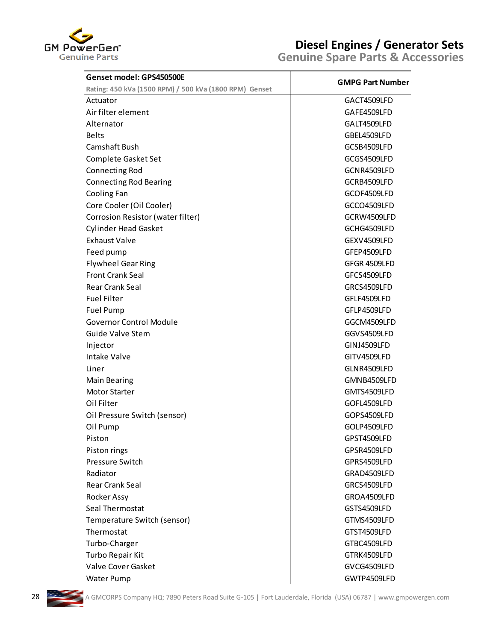

| Genset model: GPS450500E                               | <b>GMPG Part Number</b> |
|--------------------------------------------------------|-------------------------|
| Rating: 450 kVa (1500 RPM) / 500 kVa (1800 RPM) Genset |                         |
| Actuator                                               | GACT4509LFD             |
| Air filter element                                     | GAFE4509LFD             |
| Alternator                                             | GALT4509LFD             |
| <b>Belts</b>                                           | GBEL4509LFD             |
| Camshaft Bush                                          | GCSB4509LFD             |
| Complete Gasket Set                                    | GCGS4509LFD             |
| <b>Connecting Rod</b>                                  | GCNR4509LFD             |
| <b>Connecting Rod Bearing</b>                          | GCRB4509LFD             |
| Cooling Fan                                            | GCOF4509LFD             |
| Core Cooler (Oil Cooler)                               | GCCO4509LFD             |
| Corrosion Resistor (water filter)                      | GCRW4509LFD             |
| <b>Cylinder Head Gasket</b>                            | GCHG4509LFD             |
| <b>Exhaust Valve</b>                                   | GEXV4509LFD             |
| Feed pump                                              | GFEP4509LFD             |
| <b>Flywheel Gear Ring</b>                              | GFGR 4509LFD            |
| <b>Front Crank Seal</b>                                | GFCS4509LFD             |
| Rear Crank Seal                                        | GRCS4509LFD             |
| <b>Fuel Filter</b>                                     | GFLF4509LFD             |
| Fuel Pump                                              | GFLP4509LFD             |
| <b>Governor Control Module</b>                         | GGCM4509LFD             |
| <b>Guide Valve Stem</b>                                | GGVS4509LFD             |
| Injector                                               | GINJ4509LFD             |
| <b>Intake Valve</b>                                    | GITV4509LFD             |
| Liner                                                  | GLNR4509LFD             |
| <b>Main Bearing</b>                                    | GMNB4509LFD             |
| <b>Motor Starter</b>                                   | GMTS4509LFD             |
| Oil Filter                                             | GOFL4509LFD             |
| Oil Pressure Switch (sensor)                           | GOPS4509LFD             |
| Oil Pump                                               | GOLP4509LFD             |
| Piston                                                 | GPST4509LFD             |
| Piston rings                                           | GPSR4509LFD             |
| Pressure Switch                                        | GPRS4509LFD             |
| Radiator                                               | GRAD4509LFD             |
| Rear Crank Seal                                        | GRCS4509LFD             |
| Rocker Assy                                            | GROA4509LFD             |
| Seal Thermostat                                        | GSTS4509LFD             |
| Temperature Switch (sensor)                            | GTMS4509LFD             |
| Thermostat                                             | GTST4509LFD             |
| Turbo-Charger                                          | GTBC4509LFD             |
| Turbo Repair Kit                                       | GTRK4509LFD             |
| Valve Cover Gasket                                     | GVCG4509LFD             |
| <b>Water Pump</b>                                      | GWTP4509LFD             |

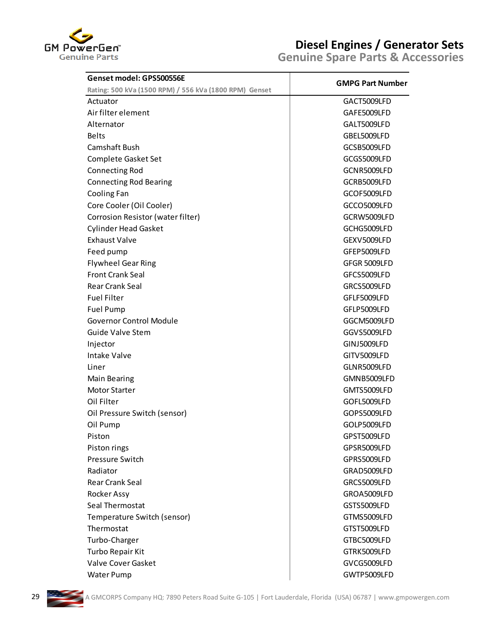

| Genset model: GPS500556E                               |                         |
|--------------------------------------------------------|-------------------------|
| Rating: 500 kVa (1500 RPM) / 556 kVa (1800 RPM) Genset | <b>GMPG Part Number</b> |
| Actuator                                               | GACT5009LFD             |
| Air filter element                                     | GAFE5009LFD             |
| Alternator                                             | GALT5009LFD             |
| Belts                                                  | GBEL5009LFD             |
| Camshaft Bush                                          | GCSB5009LFD             |
| Complete Gasket Set                                    | GCGS5009LFD             |
| <b>Connecting Rod</b>                                  | GCNR5009LFD             |
| <b>Connecting Rod Bearing</b>                          | GCRB5009LFD             |
| Cooling Fan                                            | GCOF5009LFD             |
| Core Cooler (Oil Cooler)                               | GCCO5009LFD             |
| Corrosion Resistor (water filter)                      | GCRW5009LFD             |
| <b>Cylinder Head Gasket</b>                            | GCHG5009LFD             |
| <b>Exhaust Valve</b>                                   | GEXV5009LFD             |
| Feed pump                                              | GFEP5009LFD             |
| <b>Flywheel Gear Ring</b>                              | GFGR 5009LFD            |
| <b>Front Crank Seal</b>                                | GFCS5009LFD             |
| <b>Rear Crank Seal</b>                                 | GRCS5009LFD             |
| <b>Fuel Filter</b>                                     | GFLF5009LFD             |
| <b>Fuel Pump</b>                                       | GFLP5009LFD             |
| <b>Governor Control Module</b>                         | GGCM5009LFD             |
| Guide Valve Stem                                       | GGVS5009LFD             |
| Injector                                               | GINJ5009LFD             |
| <b>Intake Valve</b>                                    | GITV5009LFD             |
| Liner                                                  | GLNR5009LFD             |
| <b>Main Bearing</b>                                    | GMNB5009LFD             |
| <b>Motor Starter</b>                                   | GMTS5009LFD             |
| Oil Filter                                             | GOFL5009LFD             |
| Oil Pressure Switch (sensor)                           | GOPS5009LFD             |
| Oil Pump                                               | GOLP5009LFD             |
| Piston                                                 | GPST5009LFD             |
| Piston rings                                           | GPSR5009LFD             |
| Pressure Switch                                        | GPRS5009LFD             |
| Radiator                                               | GRAD5009LFD             |
| <b>Rear Crank Seal</b>                                 | GRCS5009LFD             |
| Rocker Assy                                            | GROA5009LFD             |
| Seal Thermostat                                        | GSTS5009LFD             |
| Temperature Switch (sensor)                            | GTMS5009LFD             |
| Thermostat                                             | GTST5009LFD             |
| Turbo-Charger                                          | GTBC5009LFD             |
| Turbo Repair Kit                                       | GTRK5009LFD             |
| Valve Cover Gasket                                     | GVCG5009LFD             |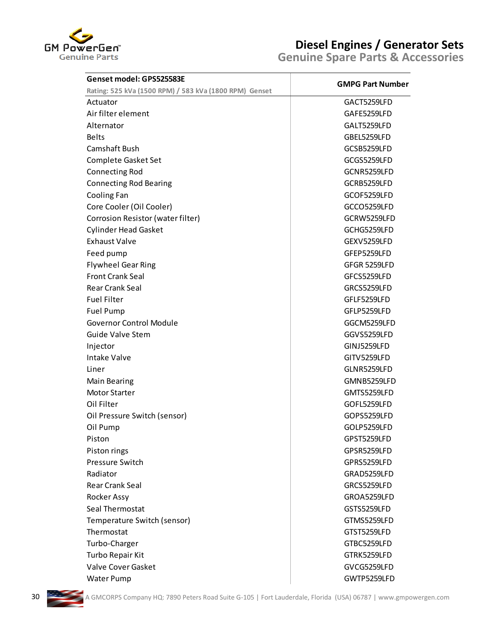

| Genset model: GPS525583E                                           | <b>GMPG Part Number</b> |
|--------------------------------------------------------------------|-------------------------|
| Rating: 525 kVa (1500 RPM) / 583 kVa (1800 RPM) Genset<br>Actuator | GACT5259LFD             |
| Air filter element                                                 |                         |
|                                                                    | GAFE5259LFD             |
| Alternator                                                         | GALT5259LFD             |
| <b>Belts</b>                                                       | GBEL5259LFD             |
| Camshaft Bush                                                      | GCSB5259LFD             |
| Complete Gasket Set                                                | GCGS5259LFD             |
| <b>Connecting Rod</b>                                              | GCNR5259LFD             |
| <b>Connecting Rod Bearing</b>                                      | GCRB5259LFD             |
| Cooling Fan                                                        | GCOF5259LFD             |
| Core Cooler (Oil Cooler)                                           | GCCO5259LFD             |
| Corrosion Resistor (water filter)                                  | GCRW5259LFD             |
| <b>Cylinder Head Gasket</b>                                        | GCHG5259LFD             |
| <b>Exhaust Valve</b>                                               | GEXV5259LFD             |
| Feed pump                                                          | GFEP5259LFD             |
| <b>Flywheel Gear Ring</b>                                          | GFGR 5259LFD            |
| <b>Front Crank Seal</b>                                            | GFCS5259LFD             |
| <b>Rear Crank Seal</b>                                             | GRCS5259LFD             |
| <b>Fuel Filter</b>                                                 | GFLF5259LFD             |
| <b>Fuel Pump</b>                                                   | GFLP5259LFD             |
| <b>Governor Control Module</b>                                     | GGCM5259LFD             |
| <b>Guide Valve Stem</b>                                            | GGVS5259LFD             |
| Injector                                                           | GINJ5259LFD             |
| Intake Valve                                                       | GITV5259LFD             |
| Liner                                                              | GLNR5259LFD             |
| Main Bearing                                                       | GMNB5259LFD             |
| <b>Motor Starter</b>                                               | GMTS5259LFD             |
| Oil Filter                                                         | GOFL5259LFD             |
| Oil Pressure Switch (sensor)                                       | GOPS5259LFD             |
| Oil Pump                                                           | GOLP5259LFD             |
| Piston                                                             | GPST5259LFD             |
|                                                                    | GPSR5259LFD             |
| Piston rings<br>Pressure Switch                                    | GPRS5259LFD             |
|                                                                    |                         |
| Radiator                                                           | GRAD5259LFD             |
| <b>Rear Crank Seal</b>                                             | GRCS5259LFD             |
| Rocker Assy                                                        | GROA5259LFD             |
| Seal Thermostat                                                    | GSTS5259LFD             |
| Temperature Switch (sensor)                                        | GTMS5259LFD             |
| Thermostat                                                         | GTST5259LFD             |
| Turbo-Charger                                                      | GTBC5259LFD             |
| Turbo Repair Kit                                                   | GTRK5259LFD             |
| Valve Cover Gasket                                                 | GVCG5259LFD             |